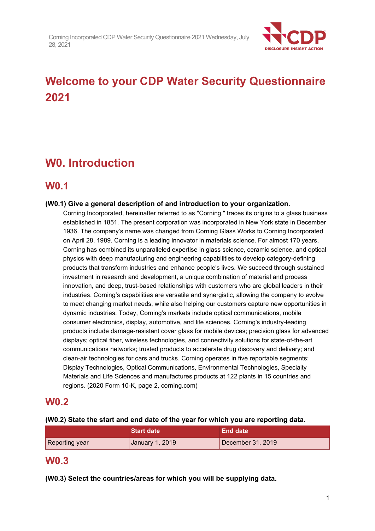

# **Welcome to your CDP Water Security Questionnaire 2021**

# **W0. Introduction**

# **W0.1**

# **(W0.1) Give a general description of and introduction to your organization.**

Corning Incorporated, hereinafter referred to as "Corning," traces its origins to a glass business established in 1851. The present corporation was incorporated in New York state in December 1936. The company's name was changed from Corning Glass Works to Corning Incorporated on April 28, 1989. Corning is a leading innovator in materials science. For almost 170 years, Corning has combined its unparalleled expertise in glass science, ceramic science, and optical physics with deep manufacturing and engineering capabilities to develop category-defining products that transform industries and enhance people's lives. We succeed through sustained investment in research and development, a unique combination of material and process innovation, and deep, trust-based relationships with customers who are global leaders in their industries. Corning's capabilities are versatile and synergistic, allowing the company to evolve to meet changing market needs, while also helping our customers capture new opportunities in dynamic industries. Today, Corning's markets include optical communications, mobile consumer electronics, display, automotive, and life sciences. Corning's industry-leading products include damage-resistant cover glass for mobile devices; precision glass for advanced displays; optical fiber, wireless technologies, and connectivity solutions for state-of-the-art communications networks; trusted products to accelerate drug discovery and delivery; and clean-air technologies for cars and trucks. Corning operates in five reportable segments: Display Technologies, Optical Communications, Environmental Technologies, Specialty Materials and Life Sciences and manufactures products at 122 plants in 15 countries and regions. (2020 Form 10-K, page 2, corning.com)

# **W0.2**

# **(W0.2) State the start and end date of the year for which you are reporting data.**

|                | l Start date <sup>1</sup> | End date          |  |
|----------------|---------------------------|-------------------|--|
| Reporting year | January 1, 2019           | December 31, 2019 |  |

# **W0.3**

**(W0.3) Select the countries/areas for which you will be supplying data.**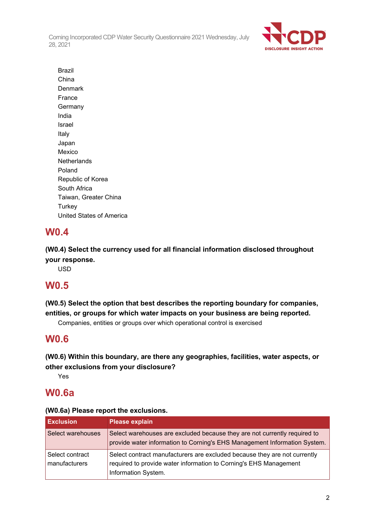

Brazil China Denmark France **Germany** India Israel Italy Japan Mexico **Netherlands** Poland Republic of Korea South Africa Taiwan, Greater China **Turkey** United States of America

# **W0.4**

**(W0.4) Select the currency used for all financial information disclosed throughout your response.**

USD

# **W0.5**

**(W0.5) Select the option that best describes the reporting boundary for companies, entities, or groups for which water impacts on your business are being reported.**

Companies, entities or groups over which operational control is exercised

# **W0.6**

**(W0.6) Within this boundary, are there any geographies, facilities, water aspects, or other exclusions from your disclosure?**

Yes

# **W0.6a**

# **(W0.6a) Please report the exclusions.**

| <b>Exclusion</b>                 | <b>Please explain</b>                                                                                                                                                 |
|----------------------------------|-----------------------------------------------------------------------------------------------------------------------------------------------------------------------|
| Select warehouses                | Select warehouses are excluded because they are not currently required to<br>provide water information to Corning's EHS Management Information System.                |
| Select contract<br>manufacturers | Select contract manufacturers are excluded because they are not currently<br>required to provide water information to Corning's EHS Management<br>Information System. |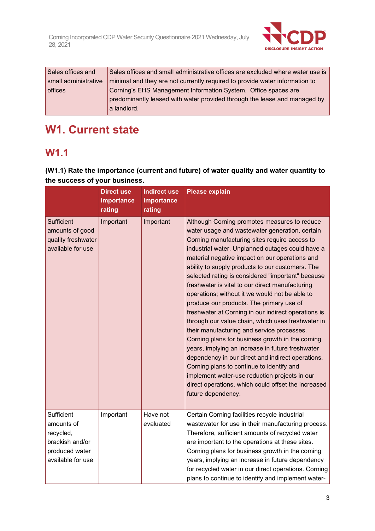

| Sales offices and    | Sales offices and small administrative offices are excluded where water use is |
|----------------------|--------------------------------------------------------------------------------|
| small administrative | minimal and they are not currently required to provide water information to    |
| offices              | Corning's EHS Management Information System. Office spaces are                 |
|                      | predominantly leased with water provided through the lease and managed by      |
|                      | a landlord.                                                                    |

# **W1. Current state**

# **W1.1**

**(W1.1) Rate the importance (current and future) of water quality and water quantity to the success of your business.**

|                                                                                                 | <b>Direct use</b><br>importance<br>rating | <b>Indirect use</b><br>importance<br>rating | <b>Please explain</b>                                                                                                                                                                                                                                                                                                                                                                                                                                                                                                                                                                                                                                                                                                                                                                                                                                                                                                                                                                                            |
|-------------------------------------------------------------------------------------------------|-------------------------------------------|---------------------------------------------|------------------------------------------------------------------------------------------------------------------------------------------------------------------------------------------------------------------------------------------------------------------------------------------------------------------------------------------------------------------------------------------------------------------------------------------------------------------------------------------------------------------------------------------------------------------------------------------------------------------------------------------------------------------------------------------------------------------------------------------------------------------------------------------------------------------------------------------------------------------------------------------------------------------------------------------------------------------------------------------------------------------|
| <b>Sufficient</b><br>amounts of good<br>quality freshwater<br>available for use                 | Important                                 | Important                                   | Although Corning promotes measures to reduce<br>water usage and wastewater generation, certain<br>Corning manufacturing sites require access to<br>industrial water. Unplanned outages could have a<br>material negative impact on our operations and<br>ability to supply products to our customers. The<br>selected rating is considered "important" because<br>freshwater is vital to our direct manufacturing<br>operations; without it we would not be able to<br>produce our products. The primary use of<br>freshwater at Corning in our indirect operations is<br>through our value chain, which uses freshwater in<br>their manufacturing and service processes.<br>Corning plans for business growth in the coming<br>years, implying an increase in future freshwater<br>dependency in our direct and indirect operations.<br>Corning plans to continue to identify and<br>implement water-use reduction projects in our<br>direct operations, which could offset the increased<br>future dependency. |
| Sufficient<br>amounts of<br>recycled,<br>brackish and/or<br>produced water<br>available for use | Important                                 | Have not<br>evaluated                       | Certain Corning facilities recycle industrial<br>wastewater for use in their manufacturing process.<br>Therefore, sufficient amounts of recycled water<br>are important to the operations at these sites.<br>Corning plans for business growth in the coming<br>years, implying an increase in future dependency<br>for recycled water in our direct operations. Corning<br>plans to continue to identify and implement water-                                                                                                                                                                                                                                                                                                                                                                                                                                                                                                                                                                                   |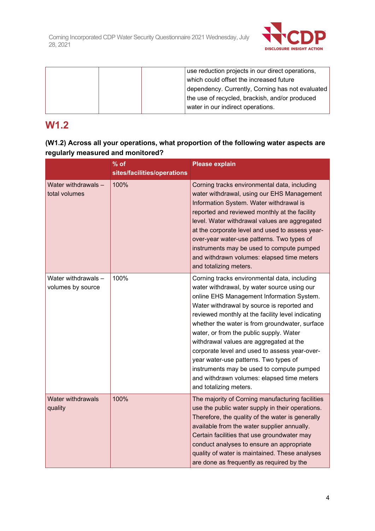

| use reduction projects in our direct operations, |
|--------------------------------------------------|
| which could offset the increased future          |
| dependency. Currently, Corning has not evaluated |
| the use of recycled, brackish, and/or produced   |
| water in our indirect operations.                |

# **W1.2**

# **(W1.2) Across all your operations, what proportion of the following water aspects are regularly measured and monitored?**

|                                          | $%$ of                      | <b>Please explain</b>                                                                                                                                                                                                                                                                                                                                                                                                                                                                                                                                                                              |  |  |
|------------------------------------------|-----------------------------|----------------------------------------------------------------------------------------------------------------------------------------------------------------------------------------------------------------------------------------------------------------------------------------------------------------------------------------------------------------------------------------------------------------------------------------------------------------------------------------------------------------------------------------------------------------------------------------------------|--|--|
|                                          | sites/facilities/operations |                                                                                                                                                                                                                                                                                                                                                                                                                                                                                                                                                                                                    |  |  |
| Water withdrawals -<br>total volumes     | 100%                        | Corning tracks environmental data, including<br>water withdrawal, using our EHS Management<br>Information System. Water withdrawal is<br>reported and reviewed monthly at the facility<br>level. Water withdrawal values are aggregated<br>at the corporate level and used to assess year-<br>over-year water-use patterns. Two types of<br>instruments may be used to compute pumped<br>and withdrawn volumes: elapsed time meters<br>and totalizing meters.                                                                                                                                      |  |  |
| Water withdrawals -<br>volumes by source | 100%                        | Corning tracks environmental data, including<br>water withdrawal, by water source using our<br>online EHS Management Information System.<br>Water withdrawal by source is reported and<br>reviewed monthly at the facility level indicating<br>whether the water is from groundwater, surface<br>water, or from the public supply. Water<br>withdrawal values are aggregated at the<br>corporate level and used to assess year-over-<br>year water-use patterns. Two types of<br>instruments may be used to compute pumped<br>and withdrawn volumes: elapsed time meters<br>and totalizing meters. |  |  |
| <b>Water withdrawals</b><br>quality      | 100%                        | The majority of Corning manufacturing facilities<br>use the public water supply in their operations.<br>Therefore, the quality of the water is generally<br>available from the water supplier annually.<br>Certain facilities that use groundwater may<br>conduct analyses to ensure an appropriate<br>quality of water is maintained. These analyses<br>are done as frequently as required by the                                                                                                                                                                                                 |  |  |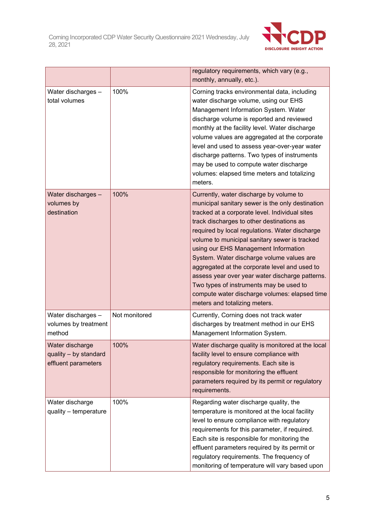

|                                                                 |               | regulatory requirements, which vary (e.g.,<br>monthly, annually, etc.).                                                                                                                                                                                                                                                                                                                                                                                                                                                                                                                                             |  |
|-----------------------------------------------------------------|---------------|---------------------------------------------------------------------------------------------------------------------------------------------------------------------------------------------------------------------------------------------------------------------------------------------------------------------------------------------------------------------------------------------------------------------------------------------------------------------------------------------------------------------------------------------------------------------------------------------------------------------|--|
| Water discharges -<br>total volumes                             | 100%          | Corning tracks environmental data, including<br>water discharge volume, using our EHS<br>Management Information System. Water<br>discharge volume is reported and reviewed<br>monthly at the facility level. Water discharge<br>volume values are aggregated at the corporate<br>level and used to assess year-over-year water<br>discharge patterns. Two types of instruments<br>may be used to compute water discharge<br>volumes: elapsed time meters and totalizing<br>meters.                                                                                                                                  |  |
| Water discharges -<br>volumes by<br>destination                 | 100%          | Currently, water discharge by volume to<br>municipal sanitary sewer is the only destination<br>tracked at a corporate level. Individual sites<br>track discharges to other destinations as<br>required by local regulations. Water discharge<br>volume to municipal sanitary sewer is tracked<br>using our EHS Management Information<br>System. Water discharge volume values are<br>aggregated at the corporate level and used to<br>assess year over year water discharge patterns.<br>Two types of instruments may be used to<br>compute water discharge volumes: elapsed time<br>meters and totalizing meters. |  |
| Water discharges -<br>volumes by treatment<br>method            | Not monitored | Currently, Corning does not track water<br>discharges by treatment method in our EHS<br>Management Information System.                                                                                                                                                                                                                                                                                                                                                                                                                                                                                              |  |
| Water discharge<br>quality - by standard<br>effluent parameters | 100%          | Water discharge quality is monitored at the local<br>facility level to ensure compliance with<br>regulatory requirements. Each site is<br>responsible for monitoring the effluent<br>parameters required by its permit or regulatory<br>requirements.                                                                                                                                                                                                                                                                                                                                                               |  |
| Water discharge<br>quality - temperature                        | 100%          | Regarding water discharge quality, the<br>temperature is monitored at the local facility<br>level to ensure compliance with regulatory<br>requirements for this parameter, if required.<br>Each site is responsible for monitoring the<br>effluent parameters required by its permit or<br>regulatory requirements. The frequency of<br>monitoring of temperature will vary based upon                                                                                                                                                                                                                              |  |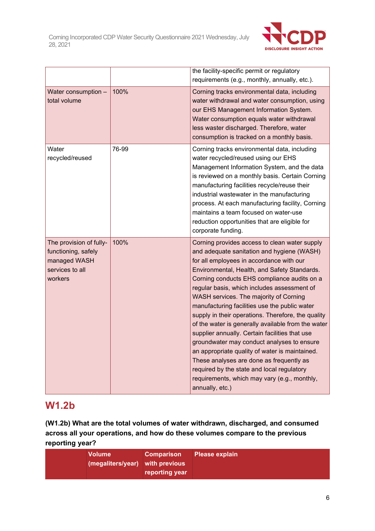

|                                                                                              |       | the facility-specific permit or regulatory<br>requirements (e.g., monthly, annually, etc.).                                                                                                                                                                                                                                                                                                                                                                                                                                                                                                                                                                                                                                                                                                                 |
|----------------------------------------------------------------------------------------------|-------|-------------------------------------------------------------------------------------------------------------------------------------------------------------------------------------------------------------------------------------------------------------------------------------------------------------------------------------------------------------------------------------------------------------------------------------------------------------------------------------------------------------------------------------------------------------------------------------------------------------------------------------------------------------------------------------------------------------------------------------------------------------------------------------------------------------|
| Water consumption -<br>total volume                                                          | 100%  | Corning tracks environmental data, including<br>water withdrawal and water consumption, using<br>our EHS Management Information System.<br>Water consumption equals water withdrawal<br>less waster discharged. Therefore, water<br>consumption is tracked on a monthly basis.                                                                                                                                                                                                                                                                                                                                                                                                                                                                                                                              |
| Water<br>recycled/reused                                                                     | 76-99 | Corning tracks environmental data, including<br>water recycled/reused using our EHS<br>Management Information System, and the data<br>is reviewed on a monthly basis. Certain Corning<br>manufacturing facilities recycle/reuse their<br>industrial wastewater in the manufacturing<br>process. At each manufacturing facility, Corning<br>maintains a team focused on water-use<br>reduction opportunities that are eligible for<br>corporate funding.                                                                                                                                                                                                                                                                                                                                                     |
| The provision of fully-<br>functioning, safely<br>managed WASH<br>services to all<br>workers | 100%  | Corning provides access to clean water supply<br>and adequate sanitation and hygiene (WASH)<br>for all employees in accordance with our<br>Environmental, Health, and Safety Standards.<br>Corning conducts EHS compliance audits on a<br>regular basis, which includes assessment of<br>WASH services. The majority of Corning<br>manufacturing facilities use the public water<br>supply in their operations. Therefore, the quality<br>of the water is generally available from the water<br>supplier annually. Certain facilities that use<br>groundwater may conduct analyses to ensure<br>an appropriate quality of water is maintained.<br>These analyses are done as frequently as<br>required by the state and local regulatory<br>requirements, which may vary (e.g., monthly,<br>annually, etc.) |

# **W1.2b**

**(W1.2b) What are the total volumes of water withdrawn, discharged, and consumed across all your operations, and how do these volumes compare to the previous reporting year?**

| <b>Volume</b><br>(megaliters/year) with previous | Comparison Please explain<br>reporting year |  |
|--------------------------------------------------|---------------------------------------------|--|
|                                                  |                                             |  |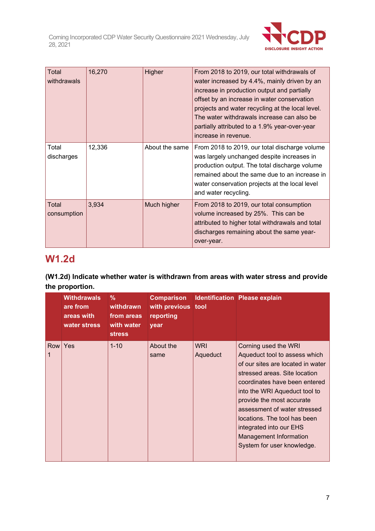

| Total<br>withdrawals        | 16,270 | Higher         | From 2018 to 2019, our total withdrawals of<br>water increased by 4.4%, mainly driven by an<br>increase in production output and partially<br>offset by an increase in water conservation<br>projects and water recycling at the local level.<br>The water withdrawals increase can also be<br>partially attributed to a 1.9% year-over-year<br>increase in revenue. |
|-----------------------------|--------|----------------|----------------------------------------------------------------------------------------------------------------------------------------------------------------------------------------------------------------------------------------------------------------------------------------------------------------------------------------------------------------------|
| Total<br>discharges         | 12,336 | About the same | From 2018 to 2019, our total discharge volume<br>was largely unchanged despite increases in<br>production output. The total discharge volume<br>remained about the same due to an increase in<br>water conservation projects at the local level<br>and water recycling.                                                                                              |
| <b>Total</b><br>consumption | 3,934  | Much higher    | From 2018 to 2019, our total consumption<br>volume increased by 25%. This can be<br>attributed to higher total withdrawals and total<br>discharges remaining about the same year-<br>over-year.                                                                                                                                                                      |

# **W1.2d**

# **(W1.2d) Indicate whether water is withdrawn from areas with water stress and provide the proportion.**

|            | <b>Withdrawals</b><br>are from<br>areas with<br>water stress | %<br>withdrawn<br>from areas<br>with water<br><b>stress</b> | <b>Comparison</b><br>with previous tool<br>reporting<br>year |                        | <b>Identification Please explain</b>                                                                                                                                                                                                                                                                                                                                          |
|------------|--------------------------------------------------------------|-------------------------------------------------------------|--------------------------------------------------------------|------------------------|-------------------------------------------------------------------------------------------------------------------------------------------------------------------------------------------------------------------------------------------------------------------------------------------------------------------------------------------------------------------------------|
| <b>Row</b> | Yes                                                          | $1 - 10$                                                    | About the<br>same                                            | <b>WRI</b><br>Aqueduct | Corning used the WRI<br>Aqueduct tool to assess which<br>of our sites are located in water<br>stressed areas. Site location<br>coordinates have been entered<br>into the WRI Aqueduct tool to<br>provide the most accurate<br>assessment of water stressed<br>locations. The tool has been<br>integrated into our EHS<br>Management Information<br>System for user knowledge. |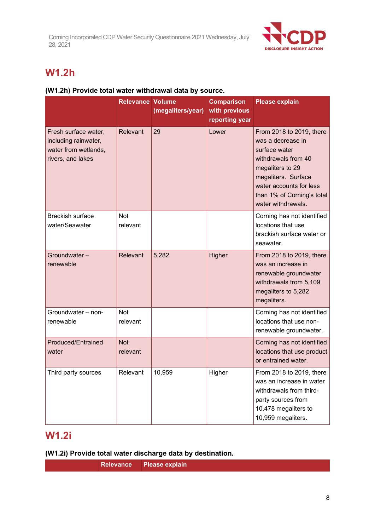

# **W1.2h**

# **(W1.2h) Provide total water withdrawal data by source.**

|                                                                                           | <b>Relevance Volume</b> | (megaliters/year) | <b>Comparison</b><br>with previous<br>reporting year | <b>Please explain</b>                                                                                                                                                                                           |
|-------------------------------------------------------------------------------------------|-------------------------|-------------------|------------------------------------------------------|-----------------------------------------------------------------------------------------------------------------------------------------------------------------------------------------------------------------|
| Fresh surface water,<br>including rainwater,<br>water from wetlands,<br>rivers, and lakes | <b>Relevant</b>         | 29                | Lower                                                | From 2018 to 2019, there<br>was a decrease in<br>surface water<br>withdrawals from 40<br>megaliters to 29<br>megaliters. Surface<br>water accounts for less<br>than 1% of Corning's total<br>water withdrawals. |
| <b>Brackish surface</b><br>water/Seawater                                                 | <b>Not</b><br>relevant  |                   |                                                      | Corning has not identified<br>locations that use<br>brackish surface water or<br>seawater.                                                                                                                      |
| Groundwater-<br>renewable                                                                 | Relevant                | 5,282             | Higher                                               | From 2018 to 2019, there<br>was an increase in<br>renewable groundwater<br>withdrawals from 5,109<br>megaliters to 5,282<br>megaliters.                                                                         |
| Groundwater - non-<br>renewable                                                           | <b>Not</b><br>relevant  |                   |                                                      | Corning has not identified<br>locations that use non-<br>renewable groundwater.                                                                                                                                 |
| Produced/Entrained<br>water                                                               | <b>Not</b><br>relevant  |                   |                                                      | Corning has not identified<br>locations that use product<br>or entrained water.                                                                                                                                 |
| Third party sources                                                                       | Relevant                | 10,959            | Higher                                               | From 2018 to 2019, there<br>was an increase in water<br>withdrawals from third-<br>party sources from<br>10,478 megaliters to<br>10,959 megaliters.                                                             |

# **W1.2i**

**(W1.2i) Provide total water discharge data by destination.**

**Relevance Please explain**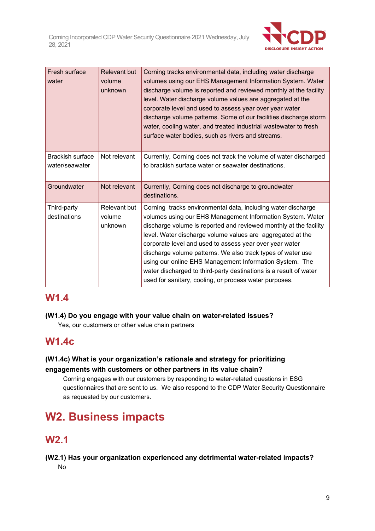

| Fresh surface<br>water                    | <b>Relevant but</b><br>volume<br>unknown | Corning tracks environmental data, including water discharge<br>volumes using our EHS Management Information System. Water<br>discharge volume is reported and reviewed monthly at the facility<br>level. Water discharge volume values are aggregated at the<br>corporate level and used to assess year over year water<br>discharge volume patterns. Some of our facilities discharge storm<br>water, cooling water, and treated industrial wastewater to fresh<br>surface water bodies, such as rivers and streams.                                                            |
|-------------------------------------------|------------------------------------------|-----------------------------------------------------------------------------------------------------------------------------------------------------------------------------------------------------------------------------------------------------------------------------------------------------------------------------------------------------------------------------------------------------------------------------------------------------------------------------------------------------------------------------------------------------------------------------------|
| <b>Brackish surface</b><br>water/seawater | Not relevant                             | Currently, Corning does not track the volume of water discharged<br>to brackish surface water or seawater destinations.                                                                                                                                                                                                                                                                                                                                                                                                                                                           |
| Groundwater                               | Not relevant                             | Currently, Corning does not discharge to groundwater<br>destinations.                                                                                                                                                                                                                                                                                                                                                                                                                                                                                                             |
| Third-party<br>destinations               | Relevant but<br>volume<br>unknown        | Corning tracks environmental data, including water discharge<br>volumes using our EHS Management Information System. Water<br>discharge volume is reported and reviewed monthly at the facility<br>level. Water discharge volume values are aggregated at the<br>corporate level and used to assess year over year water<br>discharge volume patterns. We also track types of water use<br>using our online EHS Management Information System. The<br>water discharged to third-party destinations is a result of water<br>used for sanitary, cooling, or process water purposes. |

# **W1.4**

**(W1.4) Do you engage with your value chain on water-related issues?**

Yes, our customers or other value chain partners

# **W1.4c**

# **(W1.4c) What is your organization's rationale and strategy for prioritizing engagements with customers or other partners in its value chain?**

Corning engages with our customers by responding to water-related questions in ESG questionnaires that are sent to us. We also respond to the CDP Water Security Questionnaire as requested by our customers.

# **W2. Business impacts**

# **W2.1**

# **(W2.1) Has your organization experienced any detrimental water-related impacts?** No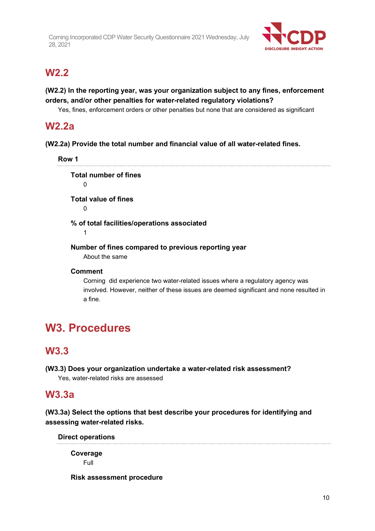

# **W2.2**

# **(W2.2) In the reporting year, was your organization subject to any fines, enforcement orders, and/or other penalties for water-related regulatory violations?**

Yes, fines, enforcement orders or other penalties but none that are considered as significant

# **W2.2a**

**(W2.2a) Provide the total number and financial value of all water-related fines.**

**Row 1 Total number of fines**  $\Omega$ **Total value of fines**  $\Omega$ **% of total facilities/operations associated** 1 **Number of fines compared to previous reporting year** About the same

# **Comment**

Corning did experience two water-related issues where a regulatory agency was involved. However, neither of these issues are deemed significant and none resulted in a fine.

# **W3. Procedures**

# **W3.3**

**(W3.3) Does your organization undertake a water-related risk assessment?** Yes, water-related risks are assessed

# **W3.3a**

**(W3.3a) Select the options that best describe your procedures for identifying and assessing water-related risks.**

**Direct operations**

**Coverage** Full

**Risk assessment procedure**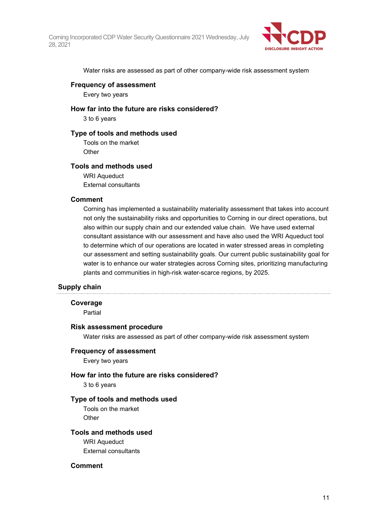

Water risks are assessed as part of other company-wide risk assessment system

## **Frequency of assessment**

Every two years

**How far into the future are risks considered?**

3 to 6 years

## **Type of tools and methods used**

Tools on the market **Other** 

## **Tools and methods used**

WRI Aqueduct External consultants

## **Comment**

Corning has implemented a sustainability materiality assessment that takes into account not only the sustainability risks and opportunities to Corning in our direct operations, but also within our supply chain and our extended value chain. We have used external consultant assistance with our assessment and have also used the WRI Aqueduct tool to determine which of our operations are located in water stressed areas in completing our assessment and setting sustainability goals. Our current public sustainability goal for water is to enhance our water strategies across Corning sites, prioritizing manufacturing plants and communities in high-risk water-scarce regions, by 2025.

# **Supply chain**

## **Coverage**

Partial

## **Risk assessment procedure**

Water risks are assessed as part of other company-wide risk assessment system

## **Frequency of assessment**

Every two years

## **How far into the future are risks considered?**

3 to 6 years

## **Type of tools and methods used**

Tools on the market **Other** 

# **Tools and methods used**

WRI Aqueduct External consultants

## **Comment**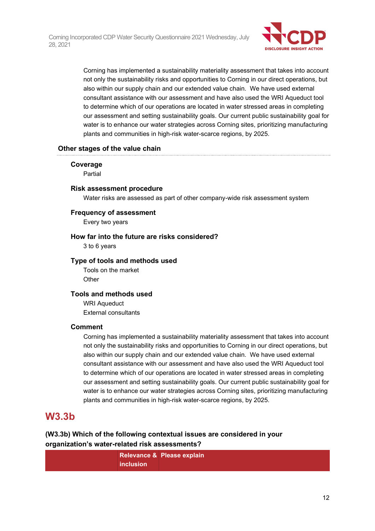

Corning has implemented a sustainability materiality assessment that takes into account not only the sustainability risks and opportunities to Corning in our direct operations, but also within our supply chain and our extended value chain. We have used external consultant assistance with our assessment and have also used the WRI Aqueduct tool to determine which of our operations are located in water stressed areas in completing our assessment and setting sustainability goals. Our current public sustainability goal for water is to enhance our water strategies across Corning sites, prioritizing manufacturing plants and communities in high-risk water-scarce regions, by 2025.

## **Other stages of the value chain**

#### **Coverage**

Partial

#### **Risk assessment procedure**

Water risks are assessed as part of other company-wide risk assessment system

## **Frequency of assessment**

Every two years

#### **How far into the future are risks considered?**

3 to 6 years

#### **Type of tools and methods used**

Tools on the market **Other** 

## **Tools and methods used**

WRI Aqueduct External consultants

#### **Comment**

Corning has implemented a sustainability materiality assessment that takes into account not only the sustainability risks and opportunities to Corning in our direct operations, but also within our supply chain and our extended value chain. We have used external consultant assistance with our assessment and have also used the WRI Aqueduct tool to determine which of our operations are located in water stressed areas in completing our assessment and setting sustainability goals. Our current public sustainability goal for water is to enhance our water strategies across Corning sites, prioritizing manufacturing plants and communities in high-risk water-scarce regions, by 2025.

# **W3.3b**

**(W3.3b) Which of the following contextual issues are considered in your organization's water-related risk assessments?**

|           | Relevance & Please explain |
|-----------|----------------------------|
| inclusion |                            |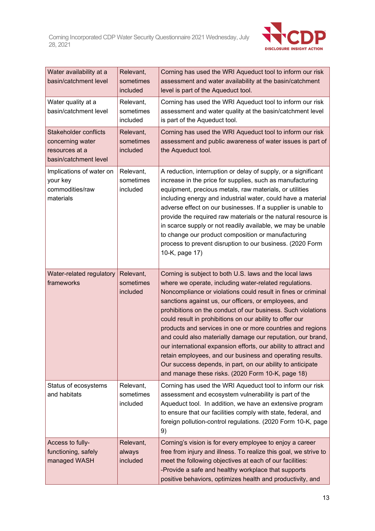

| Water availability at a<br>basin/catchment level                                            | Relevant,<br>sometimes<br>included | Corning has used the WRI Aqueduct tool to inform our risk<br>assessment and water availability at the basin/catchment<br>level is part of the Aqueduct tool.                                                                                                                                                                                                                                                                                                                                                                                                                                                                                                                                                                                            |
|---------------------------------------------------------------------------------------------|------------------------------------|---------------------------------------------------------------------------------------------------------------------------------------------------------------------------------------------------------------------------------------------------------------------------------------------------------------------------------------------------------------------------------------------------------------------------------------------------------------------------------------------------------------------------------------------------------------------------------------------------------------------------------------------------------------------------------------------------------------------------------------------------------|
| Water quality at a<br>basin/catchment level                                                 | Relevant,<br>sometimes<br>included | Corning has used the WRI Aqueduct tool to inform our risk<br>assessment and water quality at the basin/catchment level<br>is part of the Aqueduct tool.                                                                                                                                                                                                                                                                                                                                                                                                                                                                                                                                                                                                 |
| <b>Stakeholder conflicts</b><br>concerning water<br>resources at a<br>basin/catchment level | Relevant,<br>sometimes<br>included | Corning has used the WRI Aqueduct tool to inform our risk<br>assessment and public awareness of water issues is part of<br>the Aqueduct tool.                                                                                                                                                                                                                                                                                                                                                                                                                                                                                                                                                                                                           |
| Implications of water on<br>your key<br>commodities/raw<br>materials                        | Relevant,<br>sometimes<br>included | A reduction, interruption or delay of supply, or a significant<br>increase in the price for supplies, such as manufacturing<br>equipment, precious metals, raw materials, or utilities<br>including energy and industrial water, could have a material<br>adverse effect on our businesses. If a supplier is unable to<br>provide the required raw materials or the natural resource is<br>in scarce supply or not readily available, we may be unable<br>to change our product composition or manufacturing<br>process to prevent disruption to our business. (2020 Form<br>10-K, page 17)                                                                                                                                                             |
| Water-related regulatory<br>frameworks                                                      | Relevant,<br>sometimes<br>included | Corning is subject to both U.S. laws and the local laws<br>where we operate, including water-related regulations.<br>Noncompliance or violations could result in fines or criminal<br>sanctions against us, our officers, or employees, and<br>prohibitions on the conduct of our business. Such violations<br>could result in prohibitions on our ability to offer our<br>products and services in one or more countries and regions<br>and could also materially damage our reputation, our brand,<br>our international expansion efforts, our ability to attract and<br>retain employees, and our business and operating results.<br>Our success depends, in part, on our ability to anticipate<br>and manage these risks. (2020 Form 10-K, page 18) |
| Status of ecosystems<br>and habitats                                                        | Relevant,<br>sometimes<br>included | Corning has used the WRI Aqueduct tool to inform our risk<br>assessment and ecosystem vulnerability is part of the<br>Aqueduct tool. In addition, we have an extensive program<br>to ensure that our facilities comply with state, federal, and<br>foreign pollution-control regulations. (2020 Form 10-K, page<br>9)                                                                                                                                                                                                                                                                                                                                                                                                                                   |
| Access to fully-<br>functioning, safely<br>managed WASH                                     | Relevant,<br>always<br>included    | Corning's vision is for every employee to enjoy a career<br>free from injury and illness. To realize this goal, we strive to<br>meet the following objectives at each of our facilities:<br>-Provide a safe and healthy workplace that supports<br>positive behaviors, optimizes health and productivity, and                                                                                                                                                                                                                                                                                                                                                                                                                                           |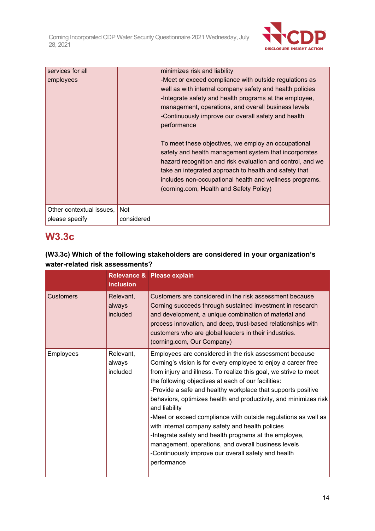

| services for all         |            | minimizes risk and liability                                                                                                                                                                                                                                                                                                              |
|--------------------------|------------|-------------------------------------------------------------------------------------------------------------------------------------------------------------------------------------------------------------------------------------------------------------------------------------------------------------------------------------------|
| employees                |            | -Meet or exceed compliance with outside regulations as<br>well as with internal company safety and health policies<br>-Integrate safety and health programs at the employee,                                                                                                                                                              |
|                          |            | management, operations, and overall business levels                                                                                                                                                                                                                                                                                       |
|                          |            | -Continuously improve our overall safety and health<br>performance                                                                                                                                                                                                                                                                        |
|                          |            | To meet these objectives, we employ an occupational<br>safety and health management system that incorporates<br>hazard recognition and risk evaluation and control, and we<br>take an integrated approach to health and safety that<br>includes non-occupational health and wellness programs.<br>(corning.com, Health and Safety Policy) |
| Other contextual issues, | Not        |                                                                                                                                                                                                                                                                                                                                           |
| please specify           | considered |                                                                                                                                                                                                                                                                                                                                           |

# **W3.3c**

# **(W3.3c) Which of the following stakeholders are considered in your organization's water-related risk assessments?**

|           | <i>inclusion</i>                | Relevance & Please explain                                                                                                                                                                                                                                                                                                                                                                                                                                                                                                                                                                                                                                                                                            |
|-----------|---------------------------------|-----------------------------------------------------------------------------------------------------------------------------------------------------------------------------------------------------------------------------------------------------------------------------------------------------------------------------------------------------------------------------------------------------------------------------------------------------------------------------------------------------------------------------------------------------------------------------------------------------------------------------------------------------------------------------------------------------------------------|
| Customers | Relevant,<br>always<br>included | Customers are considered in the risk assessment because<br>Corning succeeds through sustained investment in research<br>and development, a unique combination of material and<br>process innovation, and deep, trust-based relationships with<br>customers who are global leaders in their industries.<br>(corning.com, Our Company)                                                                                                                                                                                                                                                                                                                                                                                  |
| Employees | Relevant,<br>always<br>included | Employees are considered in the risk assessment because<br>Corning's vision is for every employee to enjoy a career free<br>from injury and illness. To realize this goal, we strive to meet<br>the following objectives at each of our facilities:<br>-Provide a safe and healthy workplace that supports positive<br>behaviors, optimizes health and productivity, and minimizes risk<br>and liability<br>-Meet or exceed compliance with outside regulations as well as<br>with internal company safety and health policies<br>-Integrate safety and health programs at the employee,<br>management, operations, and overall business levels<br>-Continuously improve our overall safety and health<br>performance |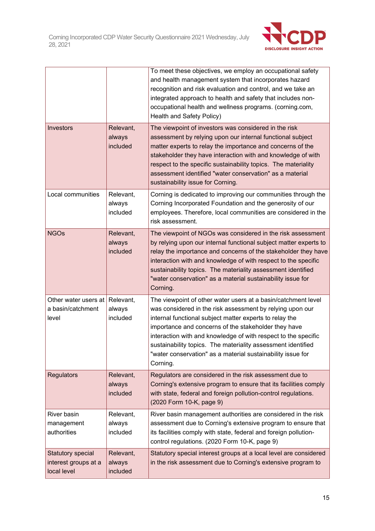

|                                                          |                                 | To meet these objectives, we employ an occupational safety<br>and health management system that incorporates hazard<br>recognition and risk evaluation and control, and we take an<br>integrated approach to health and safety that includes non-<br>occupational health and wellness programs. (corning.com,<br>Health and Safety Policy)                                                                                                                 |
|----------------------------------------------------------|---------------------------------|------------------------------------------------------------------------------------------------------------------------------------------------------------------------------------------------------------------------------------------------------------------------------------------------------------------------------------------------------------------------------------------------------------------------------------------------------------|
| <b>Investors</b>                                         | Relevant,<br>always<br>included | The viewpoint of investors was considered in the risk<br>assessment by relying upon our internal functional subject<br>matter experts to relay the importance and concerns of the<br>stakeholder they have interaction with and knowledge of with<br>respect to the specific sustainability topics. The materiality<br>assessment identified "water conservation" as a material<br>sustainability issue for Corning.                                       |
| Local communities                                        | Relevant,<br>always<br>included | Corning is dedicated to improving our communities through the<br>Corning Incorporated Foundation and the generosity of our<br>employees. Therefore, local communities are considered in the<br>risk assessment.                                                                                                                                                                                                                                            |
| <b>NGOs</b>                                              | Relevant,<br>always<br>included | The viewpoint of NGOs was considered in the risk assessment<br>by relying upon our internal functional subject matter experts to<br>relay the importance and concerns of the stakeholder they have<br>interaction with and knowledge of with respect to the specific<br>sustainability topics. The materiality assessment identified<br>"water conservation" as a material sustainability issue for<br>Corning.                                            |
| Other water users at<br>a basin/catchment<br>level       | Relevant,<br>always<br>included | The viewpoint of other water users at a basin/catchment level<br>was considered in the risk assessment by relying upon our<br>internal functional subject matter experts to relay the<br>importance and concerns of the stakeholder they have<br>interaction with and knowledge of with respect to the specific<br>sustainability topics. The materiality assessment identified<br>"water conservation" as a material sustainability issue for<br>Corning. |
| <b>Regulators</b>                                        | Relevant,<br>always<br>included | Regulators are considered in the risk assessment due to<br>Corning's extensive program to ensure that its facilities comply<br>with state, federal and foreign pollution-control regulations.<br>(2020 Form 10-K, page 9)                                                                                                                                                                                                                                  |
| River basin<br>management<br>authorities                 | Relevant,<br>always<br>included | River basin management authorities are considered in the risk<br>assessment due to Corning's extensive program to ensure that<br>its facilities comply with state, federal and foreign pollution-<br>control regulations. (2020 Form 10-K, page 9)                                                                                                                                                                                                         |
| Statutory special<br>interest groups at a<br>local level | Relevant,<br>always<br>included | Statutory special interest groups at a local level are considered<br>in the risk assessment due to Corning's extensive program to                                                                                                                                                                                                                                                                                                                          |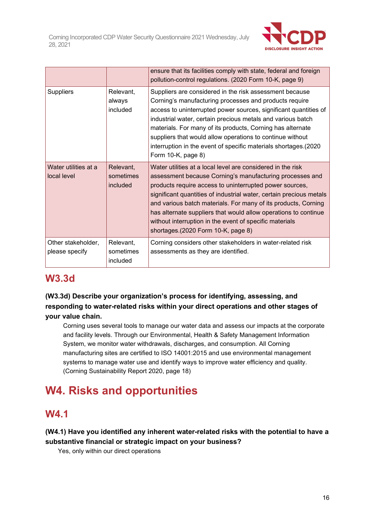

|                                      |                                    | ensure that its facilities comply with state, federal and foreign<br>pollution-control regulations. (2020 Form 10-K, page 9)                                                                                                                                                                                                                                                                                                                                                                    |
|--------------------------------------|------------------------------------|-------------------------------------------------------------------------------------------------------------------------------------------------------------------------------------------------------------------------------------------------------------------------------------------------------------------------------------------------------------------------------------------------------------------------------------------------------------------------------------------------|
| <b>Suppliers</b>                     | Relevant,<br>always<br>included    | Suppliers are considered in the risk assessment because<br>Corning's manufacturing processes and products require<br>access to uninterrupted power sources, significant quantities of<br>industrial water, certain precious metals and various batch<br>materials. For many of its products, Corning has alternate<br>suppliers that would allow operations to continue without<br>interruption in the event of specific materials shortages.(2020<br>Form 10-K, page 8)                        |
| Water utilities at a<br>local level  | Relevant,<br>sometimes<br>included | Water utilities at a local level are considered in the risk<br>assessment because Corning's manufacturing processes and<br>products require access to uninterrupted power sources,<br>significant quantities of industrial water, certain precious metals<br>and various batch materials. For many of its products, Corning<br>has alternate suppliers that would allow operations to continue<br>without interruption in the event of specific materials<br>shortages.(2020 Form 10-K, page 8) |
| Other stakeholder,<br>please specify | Relevant,<br>sometimes<br>included | Corning considers other stakeholders in water-related risk<br>assessments as they are identified.                                                                                                                                                                                                                                                                                                                                                                                               |

# **W3.3d**

# **(W3.3d) Describe your organization's process for identifying, assessing, and responding to water-related risks within your direct operations and other stages of your value chain.**

Corning uses several tools to manage our water data and assess our impacts at the corporate and facility levels. Through our Environmental, Health & Safety Management Information System, we monitor water withdrawals, discharges, and consumption. All Corning manufacturing sites are certified to ISO 14001:2015 and use environmental management systems to manage water use and identify ways to improve water efficiency and quality. (Corning Sustainability Report 2020, page 18)

# **W4. Risks and opportunities**

# **W4.1**

# **(W4.1) Have you identified any inherent water-related risks with the potential to have a substantive financial or strategic impact on your business?**

Yes, only within our direct operations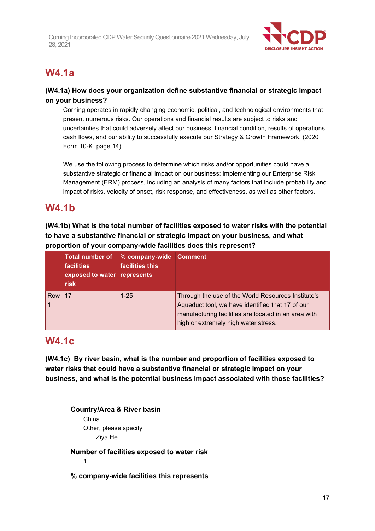

# **W4.1a**

# **(W4.1a) How does your organization define substantive financial or strategic impact on your business?**

Corning operates in rapidly changing economic, political, and technological environments that present numerous risks. Our operations and financial results are subject to risks and uncertainties that could adversely affect our business, financial condition, results of operations, cash flows, and our ability to successfully execute our Strategy & Growth Framework. (2020 Form 10-K, page 14)

We use the following process to determine which risks and/or opportunities could have a substantive strategic or financial impact on our business: implementing our Enterprise Risk Management (ERM) process, including an analysis of many factors that include probability and impact of risks, velocity of onset, risk response, and effectiveness, as well as other factors.

# **W4.1b**

**(W4.1b) What is the total number of facilities exposed to water risks with the potential to have a substantive financial or strategic impact on your business, and what proportion of your company-wide facilities does this represent?**

|     | <b>facilities</b><br>exposed to water represents<br>risk | Total number of % company-wide Comment<br>facilities this |                                                                                                                                                                                                        |
|-----|----------------------------------------------------------|-----------------------------------------------------------|--------------------------------------------------------------------------------------------------------------------------------------------------------------------------------------------------------|
| Row | 17                                                       | $1 - 25$                                                  | Through the use of the World Resources Institute's<br>Aqueduct tool, we have identified that 17 of our<br>manufacturing facilities are located in an area with<br>high or extremely high water stress. |

# **W4.1c**

**(W4.1c) By river basin, what is the number and proportion of facilities exposed to water risks that could have a substantive financial or strategic impact on your business, and what is the potential business impact associated with those facilities?**

**Country/Area & River basin** China Other, please specify Ziya He **Number of facilities exposed to water risk** 1

**% company-wide facilities this represents**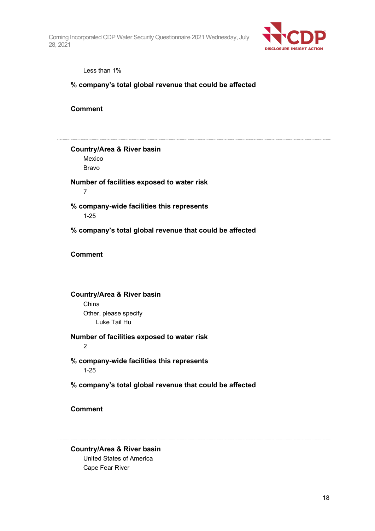

Less than 1%

# **% company's total global revenue that could be affected**

**Comment**

**Country/Area & River basin**

Mexico Bravo

**Number of facilities exposed to water risk** 7

**% company-wide facilities this represents** 1-25

**% company's total global revenue that could be affected**

**Comment**

**Country/Area & River basin** China Other, please specify Luke Tail Hu

**Number of facilities exposed to water risk**

2

**% company-wide facilities this represents** 1-25

**% company's total global revenue that could be affected**

**Comment**

**Country/Area & River basin** United States of America Cape Fear River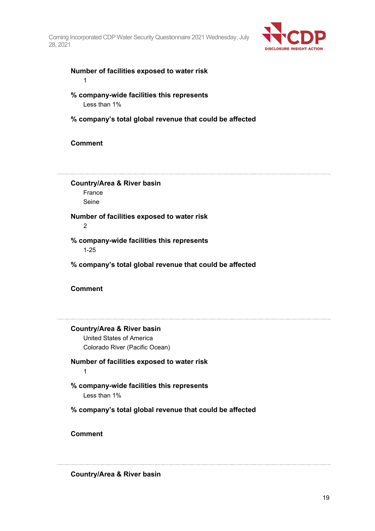

# **Number of facilities exposed to water risk**

1

# **% company-wide facilities this represents** Less than 1%

**% company's total global revenue that could be affected**

# **Comment**

**Country/Area & River basin** France Seine

#### **Number of facilities exposed to water risk**  $\overline{2}$

**% company-wide facilities this represents** 1-25

**% company's total global revenue that could be affected**

# **Comment**

# **Country/Area & River basin**

United States of America Colorado River (Pacific Ocean)

## **Number of facilities exposed to water risk** 1

- **% company-wide facilities this represents** Less than 1%
- **% company's total global revenue that could be affected**

# **Comment**

# **Country/Area & River basin**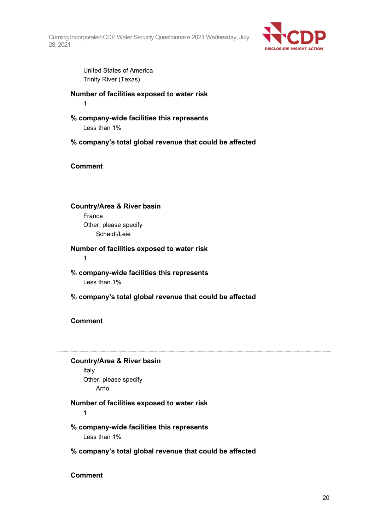

United States of America Trinity River (Texas)

**Number of facilities exposed to water risk** 1

- **% company-wide facilities this represents** Less than 1%
- **% company's total global revenue that could be affected**

# **Comment**

**Country/Area & River basin** France Other, please specify Scheldt/Leie

**Number of facilities exposed to water risk** 1

**% company-wide facilities this represents** Less than 1%

**% company's total global revenue that could be affected**

# **Comment**

## **Country/Area & River basin**

Italy Other, please specify Arno

# **Number of facilities exposed to water risk**

1

# **% company-wide facilities this represents**

Less than 1%

**% company's total global revenue that could be affected**

**Comment**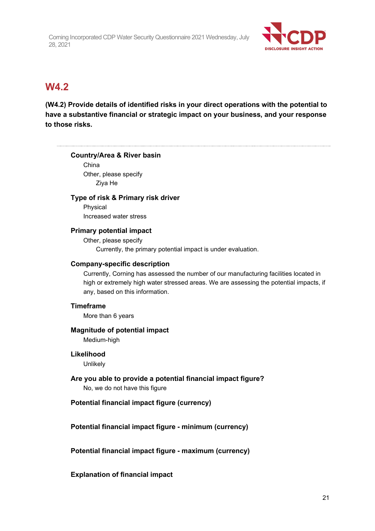

# **W4.2**

**(W4.2) Provide details of identified risks in your direct operations with the potential to have a substantive financial or strategic impact on your business, and your response to those risks.**

## **Country/Area & River basin**

China Other, please specify Ziya He

# **Type of risk & Primary risk driver**

Physical Increased water stress

# **Primary potential impact**

Other, please specify Currently, the primary potential impact is under evaluation.

# **Company-specific description**

Currently, Corning has assessed the number of our manufacturing facilities located in high or extremely high water stressed areas. We are assessing the potential impacts, if any, based on this information.

## **Timeframe**

More than 6 years

## **Magnitude of potential impact** Medium-high

## **Likelihood**

Unlikely

**Are you able to provide a potential financial impact figure?** No, we do not have this figure

# **Potential financial impact figure (currency)**

# **Potential financial impact figure - minimum (currency)**

**Potential financial impact figure - maximum (currency)**

**Explanation of financial impact**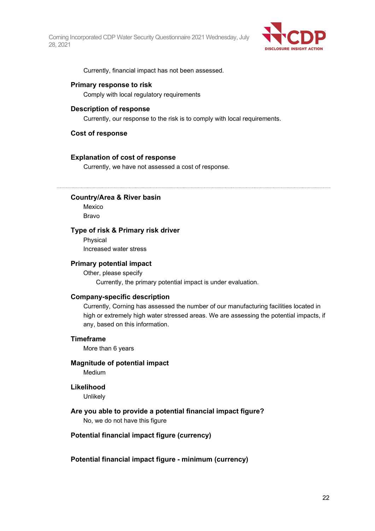

Currently, financial impact has not been assessed.

#### **Primary response to risk**

Comply with local regulatory requirements

#### **Description of response**

Currently, our response to the risk is to comply with local requirements.

#### **Cost of response**

#### **Explanation of cost of response**

Currently, we have not assessed a cost of response.

#### **Country/Area & River basin**

Mexico Bravo

#### **Type of risk & Primary risk driver**

Physical Increased water stress

#### **Primary potential impact**

Other, please specify Currently, the primary potential impact is under evaluation.

#### **Company-specific description**

Currently, Corning has assessed the number of our manufacturing facilities located in high or extremely high water stressed areas. We are assessing the potential impacts, if any, based on this information.

#### **Timeframe**

More than 6 years

# **Magnitude of potential impact**

Medium

## **Likelihood**

Unlikely

## **Are you able to provide a potential financial impact figure?**

No, we do not have this figure

## **Potential financial impact figure (currency)**

**Potential financial impact figure - minimum (currency)**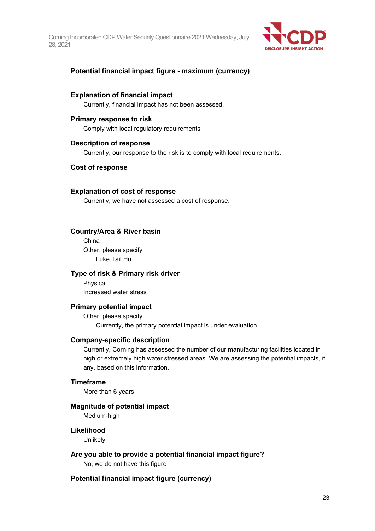

# **Potential financial impact figure - maximum (currency)**

#### **Explanation of financial impact**

Currently, financial impact has not been assessed.

#### **Primary response to risk**

Comply with local regulatory requirements

#### **Description of response**

Currently, our response to the risk is to comply with local requirements.

#### **Cost of response**

#### **Explanation of cost of response**

Currently, we have not assessed a cost of response.

### **Country/Area & River basin**

China Other, please specify Luke Tail Hu

#### **Type of risk & Primary risk driver**

Physical Increased water stress

# **Primary potential impact**

Other, please specify Currently, the primary potential impact is under evaluation.

#### **Company-specific description**

Currently, Corning has assessed the number of our manufacturing facilities located in high or extremely high water stressed areas. We are assessing the potential impacts, if any, based on this information.

#### **Timeframe**

More than 6 years

#### **Magnitude of potential impact**

Medium-high

#### **Likelihood**

**Unlikely** 

## **Are you able to provide a potential financial impact figure?**

No, we do not have this figure

#### **Potential financial impact figure (currency)**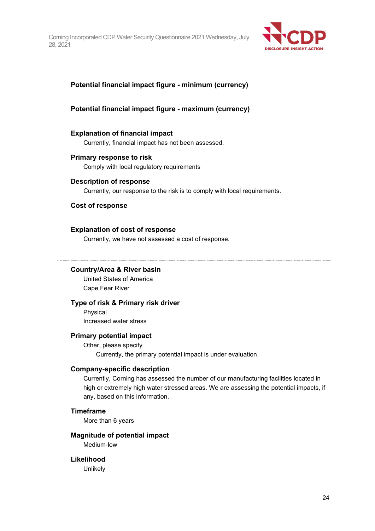

# **Potential financial impact figure - minimum (currency)**

# **Potential financial impact figure - maximum (currency)**

#### **Explanation of financial impact**

Currently, financial impact has not been assessed.

## **Primary response to risk**

Comply with local regulatory requirements

#### **Description of response**

Currently, our response to the risk is to comply with local requirements.

## **Cost of response**

## **Explanation of cost of response**

Currently, we have not assessed a cost of response.

#### **Country/Area & River basin**

United States of America Cape Fear River

#### **Type of risk & Primary risk driver**

Physical Increased water stress

### **Primary potential impact**

Other, please specify Currently, the primary potential impact is under evaluation.

## **Company-specific description**

Currently, Corning has assessed the number of our manufacturing facilities located in high or extremely high water stressed areas. We are assessing the potential impacts, if any, based on this information.

## **Timeframe**

More than 6 years

#### **Magnitude of potential impact**

Medium-low

## **Likelihood**

Unlikely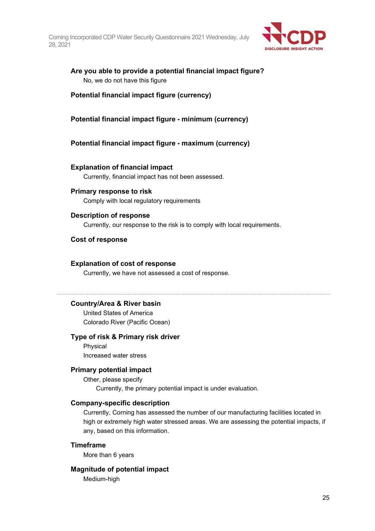

# **Are you able to provide a potential financial impact figure?** No, we do not have this figure

# **Potential financial impact figure (currency)**

# **Potential financial impact figure - minimum (currency)**

# **Potential financial impact figure - maximum (currency)**

#### **Explanation of financial impact**

Currently, financial impact has not been assessed.

## **Primary response to risk**

Comply with local regulatory requirements

#### **Description of response**

Currently, our response to the risk is to comply with local requirements.

#### **Cost of response**

#### **Explanation of cost of response**

Currently, we have not assessed a cost of response.

### **Country/Area & River basin**

United States of America Colorado River (Pacific Ocean)

#### **Type of risk & Primary risk driver**

Physical Increased water stress

#### **Primary potential impact**

Other, please specify Currently, the primary potential impact is under evaluation.

#### **Company-specific description**

Currently, Corning has assessed the number of our manufacturing facilities located in high or extremely high water stressed areas. We are assessing the potential impacts, if any, based on this information.

## **Timeframe**

More than 6 years

#### **Magnitude of potential impact**

Medium-high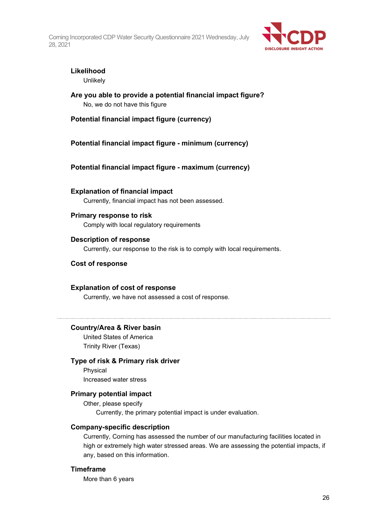

# **Likelihood**

Unlikely

**Are you able to provide a potential financial impact figure?** No, we do not have this figure

**Potential financial impact figure (currency)**

**Potential financial impact figure - minimum (currency)**

**Potential financial impact figure - maximum (currency)**

**Explanation of financial impact** Currently, financial impact has not been assessed.

# **Primary response to risk**

Comply with local regulatory requirements

## **Description of response**

Currently, our response to the risk is to comply with local requirements.

# **Cost of response**

## **Explanation of cost of response**

Currently, we have not assessed a cost of response.

# **Country/Area & River basin**

United States of America Trinity River (Texas)

## **Type of risk & Primary risk driver**

Physical Increased water stress

# **Primary potential impact**

Other, please specify Currently, the primary potential impact is under evaluation.

## **Company-specific description**

Currently, Corning has assessed the number of our manufacturing facilities located in high or extremely high water stressed areas. We are assessing the potential impacts, if any, based on this information.

## **Timeframe**

More than 6 years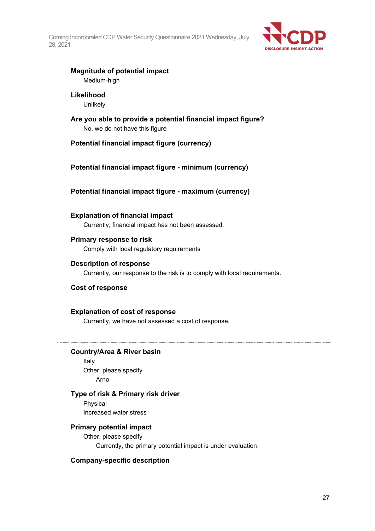

# **Magnitude of potential impact**

Medium-high

# **Likelihood**

**Unlikely** 

**Are you able to provide a potential financial impact figure?** No, we do not have this figure

# **Potential financial impact figure (currency)**

# **Potential financial impact figure - minimum (currency)**

# **Potential financial impact figure - maximum (currency)**

**Explanation of financial impact** Currently, financial impact has not been assessed.

# **Primary response to risk**

Comply with local regulatory requirements

# **Description of response**

Currently, our response to the risk is to comply with local requirements.

# **Cost of response**

# **Explanation of cost of response**

Currently, we have not assessed a cost of response.

# **Country/Area & River basin**

Italy Other, please specify Arno

# **Type of risk & Primary risk driver**

Physical Increased water stress

# **Primary potential impact**

Other, please specify Currently, the primary potential impact is under evaluation.

# **Company-specific description**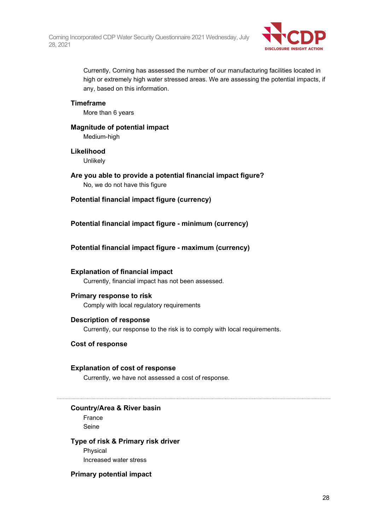

Currently, Corning has assessed the number of our manufacturing facilities located in high or extremely high water stressed areas. We are assessing the potential impacts, if any, based on this information.

# **Timeframe**

More than 6 years

# **Magnitude of potential impact** Medium-high

## **Likelihood**

Unlikely

- **Are you able to provide a potential financial impact figure?** No, we do not have this figure
- **Potential financial impact figure (currency)**
- **Potential financial impact figure - minimum (currency)**

# **Potential financial impact figure - maximum (currency)**

# **Explanation of financial impact**

Currently, financial impact has not been assessed.

# **Primary response to risk**

Comply with local regulatory requirements

## **Description of response**

Currently, our response to the risk is to comply with local requirements.

# **Cost of response**

# **Explanation of cost of response**

Currently, we have not assessed a cost of response.

# **Country/Area & River basin**

France Seine

## **Type of risk & Primary risk driver**

Physical Increased water stress

# **Primary potential impact**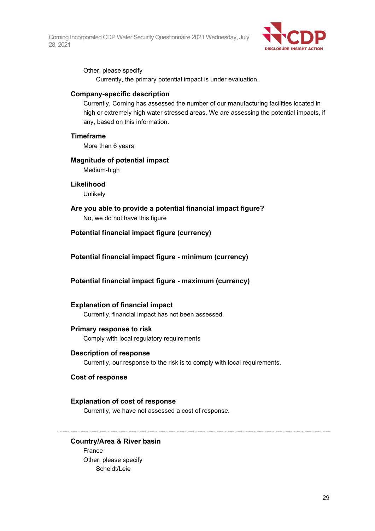

Other, please specify Currently, the primary potential impact is under evaluation.

# **Company-specific description**

Currently, Corning has assessed the number of our manufacturing facilities located in high or extremely high water stressed areas. We are assessing the potential impacts, if any, based on this information.

## **Timeframe**

More than 6 years

#### **Magnitude of potential impact**

Medium-high

#### **Likelihood**

Unlikely

## **Are you able to provide a potential financial impact figure?**

No, we do not have this figure

# **Potential financial impact figure (currency)**

# **Potential financial impact figure - minimum (currency)**

# **Potential financial impact figure - maximum (currency)**

## **Explanation of financial impact**

Currently, financial impact has not been assessed.

## **Primary response to risk**

Comply with local regulatory requirements

#### **Description of response**

Currently, our response to the risk is to comply with local requirements.

#### **Cost of response**

## **Explanation of cost of response**

Currently, we have not assessed a cost of response.

## **Country/Area & River basin**

France Other, please specify Scheldt/Leie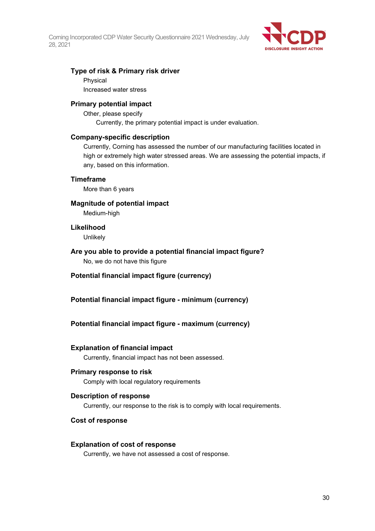

# **Type of risk & Primary risk driver**

Physical

Increased water stress

## **Primary potential impact**

Other, please specify Currently, the primary potential impact is under evaluation.

## **Company-specific description**

Currently, Corning has assessed the number of our manufacturing facilities located in high or extremely high water stressed areas. We are assessing the potential impacts, if any, based on this information.

## **Timeframe**

More than 6 years

# **Magnitude of potential impact**

Medium-high

## **Likelihood**

**Unlikely** 

# **Are you able to provide a potential financial impact figure?** No, we do not have this figure

- **Potential financial impact figure (currency)**
- **Potential financial impact figure - minimum (currency)**

# **Potential financial impact figure - maximum (currency)**

# **Explanation of financial impact**

Currently, financial impact has not been assessed.

## **Primary response to risk**

Comply with local regulatory requirements

# **Description of response**

Currently, our response to the risk is to comply with local requirements.

## **Cost of response**

## **Explanation of cost of response**

Currently, we have not assessed a cost of response.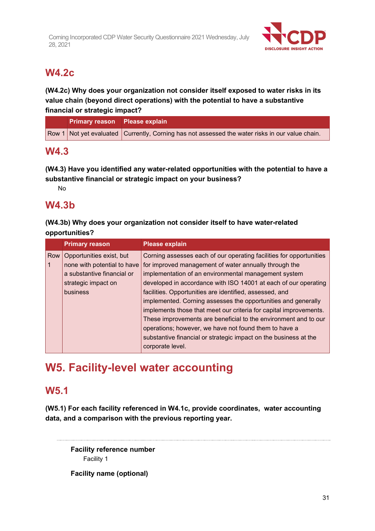

# **W4.2c**

**(W4.2c) Why does your organization not consider itself exposed to water risks in its value chain (beyond direct operations) with the potential to have a substantive financial or strategic impact?**

| Primary reason Please explain |                                                                                                 |
|-------------------------------|-------------------------------------------------------------------------------------------------|
|                               | Row 1 Not yet evaluated Currently, Corning has not assessed the water risks in our value chain. |

# **W4.3**

**(W4.3) Have you identified any water-related opportunities with the potential to have a substantive financial or strategic impact on your business?**

No

# **W4.3b**

**(W4.3b) Why does your organization not consider itself to have water-related opportunities?**

|             | <b>Primary reason</b>       | <b>Please explain</b>                                               |
|-------------|-----------------------------|---------------------------------------------------------------------|
| Row         | Opportunities exist, but    | Corning assesses each of our operating facilities for opportunities |
| $\mathbf 1$ | none with potential to have | for improved management of water annually through the               |
|             | a substantive financial or  | implementation of an environmental management system                |
|             | strategic impact on         | developed in accordance with ISO 14001 at each of our operating     |
|             | business                    | facilities. Opportunities are identified, assessed, and             |
|             |                             | implemented. Corning assesses the opportunities and generally       |
|             |                             | implements those that meet our criteria for capital improvements.   |
|             |                             | These improvements are beneficial to the environment and to our     |
|             |                             | operations; however, we have not found them to have a               |
|             |                             | substantive financial or strategic impact on the business at the    |
|             |                             | corporate level.                                                    |

# **W5. Facility-level water accounting**

# **W5.1**

**(W5.1) For each facility referenced in W4.1c, provide coordinates, water accounting data, and a comparison with the previous reporting year.**

**Facility reference number** Facility 1

**Facility name (optional)**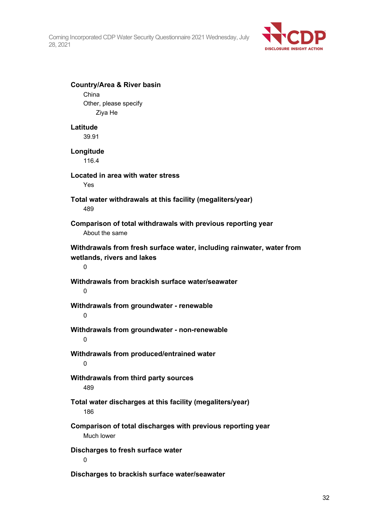

| <b>Country/Area &amp; River basin</b>                                                                    |  |
|----------------------------------------------------------------------------------------------------------|--|
| China                                                                                                    |  |
| Other, please specify                                                                                    |  |
| Ziya He                                                                                                  |  |
| Latitude                                                                                                 |  |
| 39.91                                                                                                    |  |
|                                                                                                          |  |
| Longitude                                                                                                |  |
| 116.4                                                                                                    |  |
| Located in area with water stress                                                                        |  |
| Yes                                                                                                      |  |
| Total water withdrawals at this facility (megaliters/year)<br>489                                        |  |
| Comparison of total withdrawals with previous reporting year<br>About the same                           |  |
| Withdrawals from fresh surface water, including rainwater, water from<br>wetlands, rivers and lakes<br>0 |  |
| Withdrawals from brackish surface water/seawater<br>0                                                    |  |
| Withdrawals from groundwater - renewable<br>0                                                            |  |
| Withdrawals from groundwater - non-renewable<br>0                                                        |  |
| Withdrawals from produced/entrained water                                                                |  |
| Withdrawals from third party sources<br>489                                                              |  |
| Total water discharges at this facility (megaliters/year)<br>186                                         |  |
| Comparison of total discharges with previous reporting year<br>Much lower                                |  |
| Discharges to fresh surface water<br>0                                                                   |  |
| Discharges to brackish surface water/seawater                                                            |  |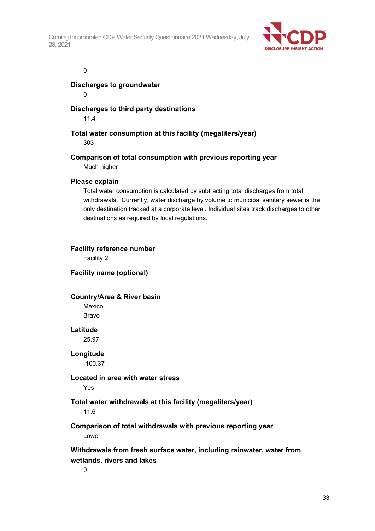

#### 0

## **Discharges to groundwater**

 $\Omega$ 

# **Discharges to third party destinations**

11.4

**Total water consumption at this facility (megaliters/year)**

303

# **Comparison of total consumption with previous reporting year** Much higher

## **Please explain**

Total water consumption is calculated by subtracting total discharges from total withdrawals. Currently, water discharge by volume to municipal sanitary sewer is the only destination tracked at a corporate level. Individual sites track discharges to other destinations as required by local regulations.

# **Facility reference number**

Facility 2

# **Facility name (optional)**

# **Country/Area & River basin**

Mexico Bravo

## **Latitude**

25.97

# **Longitude**

-100.37

# **Located in area with water stress**

Yes

# **Total water withdrawals at this facility (megaliters/year)**

11.6

# **Comparison of total withdrawals with previous reporting year** Lower

# **Withdrawals from fresh surface water, including rainwater, water from wetlands, rivers and lakes**

 $\Omega$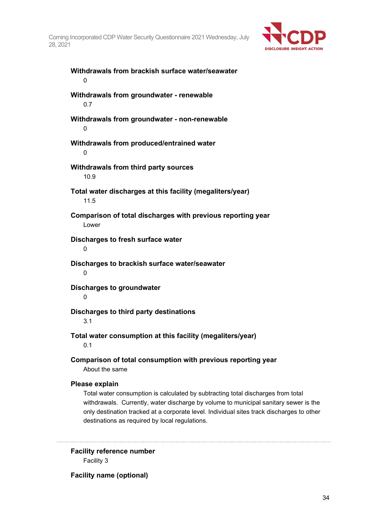

**Withdrawals from brackish surface water/seawater**  $\Omega$ **Withdrawals from groundwater - renewable** 0.7 **Withdrawals from groundwater - non-renewable** 0 **Withdrawals from produced/entrained water**  $\Omega$ **Withdrawals from third party sources** 10.9 **Total water discharges at this facility (megaliters/year)** 11.5 **Comparison of total discharges with previous reporting year** Lower **Discharges to fresh surface water**  $\Omega$ **Discharges to brackish surface water/seawater**  $\theta$ **Discharges to groundwater**  $\Omega$ **Discharges to third party destinations** 3.1 **Total water consumption at this facility (megaliters/year)** 0.1 **Comparison of total consumption with previous reporting year** About the same **Please explain** Total water consumption is calculated by subtracting total discharges from total

withdrawals. Currently, water discharge by volume to municipal sanitary sewer is the only destination tracked at a corporate level. Individual sites track discharges to other destinations as required by local regulations.

**Facility reference number** Facility 3

**Facility name (optional)**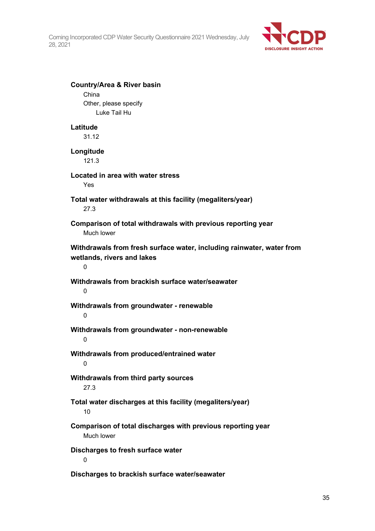

| <b>Country/Area &amp; River basin</b><br>China                                                           |
|----------------------------------------------------------------------------------------------------------|
| Other, please specify<br>Luke Tail Hu                                                                    |
| Latitude<br>31.12                                                                                        |
| Longitude<br>121.3                                                                                       |
| Located in area with water stress<br>Yes                                                                 |
| Total water withdrawals at this facility (megaliters/year)<br>27.3                                       |
| Comparison of total withdrawals with previous reporting year<br>Much lower                               |
| Withdrawals from fresh surface water, including rainwater, water from<br>wetlands, rivers and lakes<br>0 |
| Withdrawals from brackish surface water/seawater<br>0                                                    |
| Withdrawals from groundwater - renewable<br>0                                                            |
| Withdrawals from groundwater - non-renewable<br>$\Omega$                                                 |
| Withdrawals from produced/entrained water                                                                |
| Withdrawals from third party sources<br>27.3                                                             |
| Total water discharges at this facility (megaliters/year)<br>10                                          |
| Comparison of total discharges with previous reporting year<br>Much lower                                |
| Discharges to fresh surface water<br>0                                                                   |
| Discharges to brackish surface water/seawater                                                            |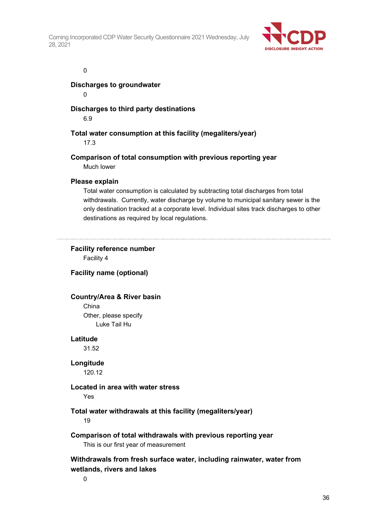

#### 0

## **Discharges to groundwater**

 $\Omega$ 

# **Discharges to third party destinations**

6.9

# **Total water consumption at this facility (megaliters/year)**

17.3

## **Comparison of total consumption with previous reporting year** Much lower

# **Please explain**

Total water consumption is calculated by subtracting total discharges from total withdrawals. Currently, water discharge by volume to municipal sanitary sewer is the only destination tracked at a corporate level. Individual sites track discharges to other destinations as required by local regulations.

# **Facility reference number**

Facility 4

# **Facility name (optional)**

# **Country/Area & River basin**

China Other, please specify Luke Tail Hu

## **Latitude**

31.52

## **Longitude**

120.12

# **Located in area with water stress**

Yes

# **Total water withdrawals at this facility (megaliters/year)**

19

# **Comparison of total withdrawals with previous reporting year** This is our first year of measurement

# **Withdrawals from fresh surface water, including rainwater, water from wetlands, rivers and lakes**

0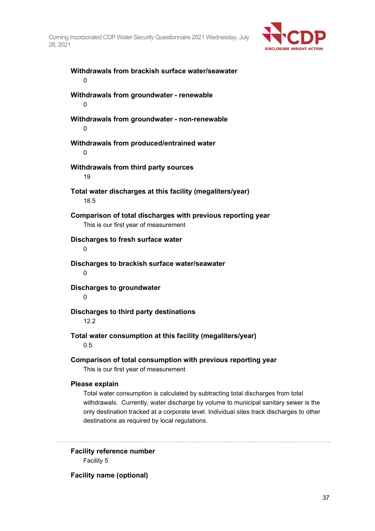

| Withdrawals from brackish surface water/seawater<br>0                                                                                                                                                                                                                                   |
|-----------------------------------------------------------------------------------------------------------------------------------------------------------------------------------------------------------------------------------------------------------------------------------------|
| Withdrawals from groundwater - renewable<br>0                                                                                                                                                                                                                                           |
| Withdrawals from groundwater - non-renewable<br>0                                                                                                                                                                                                                                       |
| Withdrawals from produced/entrained water<br>0                                                                                                                                                                                                                                          |
| Withdrawals from third party sources<br>19                                                                                                                                                                                                                                              |
| Total water discharges at this facility (megaliters/year)<br>18.5                                                                                                                                                                                                                       |
| Comparison of total discharges with previous reporting year<br>This is our first year of measurement                                                                                                                                                                                    |
| Discharges to fresh surface water<br>0                                                                                                                                                                                                                                                  |
| Discharges to brackish surface water/seawater<br>0                                                                                                                                                                                                                                      |
| <b>Discharges to groundwater</b><br>0                                                                                                                                                                                                                                                   |
| Discharges to third party destinations<br>12.2                                                                                                                                                                                                                                          |
| Total water consumption at this facility (megaliters/year)<br>0.5                                                                                                                                                                                                                       |
| Comparison of total consumption with previous reporting year<br>This is our first year of measurement                                                                                                                                                                                   |
| Please explain<br>Total water consumption is calculated by subtracting total discharges from total<br>withdrawals. Currently, water discharge by volume to municipal sanitary sewer is the<br>only destination tracked at a corporate level. Individual sites track discharges to other |

**Facility reference number** Facility 5

destinations as required by local regulations.

**Facility name (optional)**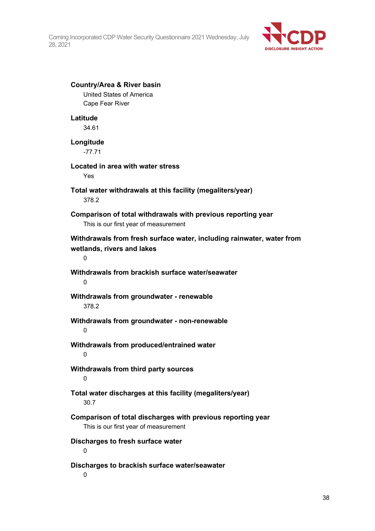

## **Country/Area & River basin**

United States of America Cape Fear River

#### **Latitude**

34.61

# **Longitude**

-77.71

## **Located in area with water stress**

Yes

# **Total water withdrawals at this facility (megaliters/year)** 378.2

# **Comparison of total withdrawals with previous reporting year** This is our first year of measurement

# **Withdrawals from fresh surface water, including rainwater, water from wetlands, rivers and lakes**

 $\Omega$ 

# **Withdrawals from brackish surface water/seawater**

0

# **Withdrawals from groundwater - renewable** 378.2

# **Withdrawals from groundwater - non-renewable**

 $\Omega$ 

## **Withdrawals from produced/entrained water** 0

# **Withdrawals from third party sources**

 $\Omega$ 

# **Total water discharges at this facility (megaliters/year)** 30.7

# **Comparison of total discharges with previous reporting year** This is our first year of measurement

# **Discharges to fresh surface water**

 $\Omega$ 

# **Discharges to brackish surface water/seawater**

 $\Omega$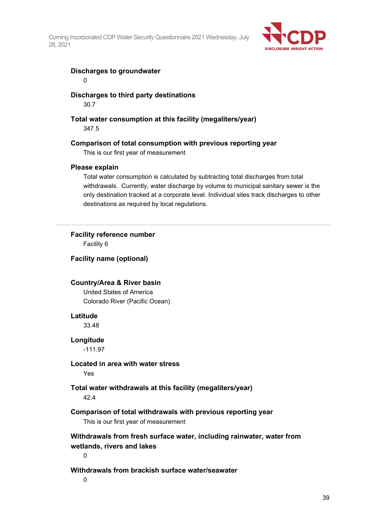

## **Discharges to groundwater**

0

# **Discharges to third party destinations**

30.7

# **Total water consumption at this facility (megaliters/year)**

347.5

# **Comparison of total consumption with previous reporting year**

This is our first year of measurement

## **Please explain**

Total water consumption is calculated by subtracting total discharges from total withdrawals. Currently, water discharge by volume to municipal sanitary sewer is the only destination tracked at a corporate level. Individual sites track discharges to other destinations as required by local regulations.

# **Facility reference number**

Facility 6

## **Facility name (optional)**

## **Country/Area & River basin**

United States of America Colorado River (Pacific Ocean)

## **Latitude**

33.48

## **Longitude**

-111.97

## **Located in area with water stress**

Yes

# **Total water withdrawals at this facility (megaliters/year)**

42.4

# **Comparison of total withdrawals with previous reporting year**

This is our first year of measurement

# **Withdrawals from fresh surface water, including rainwater, water from wetlands, rivers and lakes**

 $\theta$ 

# **Withdrawals from brackish surface water/seawater**

 $\Omega$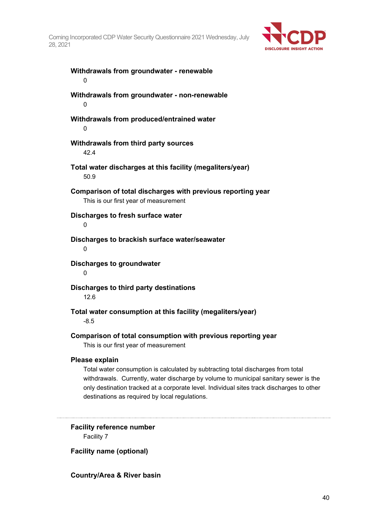

**Withdrawals from groundwater - renewable** 0 **Withdrawals from groundwater - non-renewable**  $\Omega$ **Withdrawals from produced/entrained water** 0 **Withdrawals from third party sources** 42.4 **Total water discharges at this facility (megaliters/year)** 50.9 **Comparison of total discharges with previous reporting year** This is our first year of measurement **Discharges to fresh surface water**  $\Omega$ **Discharges to brackish surface water/seawater**  $\Omega$ **Discharges to groundwater**  $\Omega$ **Discharges to third party destinations** 12.6 **Total water consumption at this facility (megaliters/year)** -8.5 **Comparison of total consumption with previous reporting year** This is our first year of measurement **Please explain** Total water consumption is calculated by subtracting total discharges from total

withdrawals. Currently, water discharge by volume to municipal sanitary sewer is the only destination tracked at a corporate level. Individual sites track discharges to other destinations as required by local regulations.

## **Facility reference number** Facility 7

**Facility name (optional)**

# **Country/Area & River basin**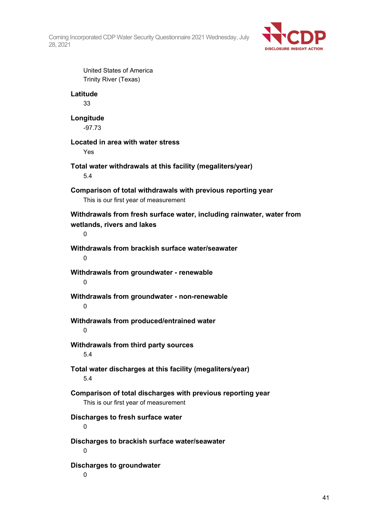

United States of America Trinity River (Texas) **Latitude** 33 **Longitude** -97.73 **Located in area with water stress** Yes **Total water withdrawals at this facility (megaliters/year)** 5.4 **Comparison of total withdrawals with previous reporting year** This is our first year of measurement **Withdrawals from fresh surface water, including rainwater, water from wetlands, rivers and lakes**  $\Omega$ **Withdrawals from brackish surface water/seawater**  $\Omega$ **Withdrawals from groundwater - renewable** 0 **Withdrawals from groundwater - non-renewable**  $\Omega$ **Withdrawals from produced/entrained water**  $\Omega$ **Withdrawals from third party sources** 5.4 **Total water discharges at this facility (megaliters/year)** 5.4 **Comparison of total discharges with previous reporting year** This is our first year of measurement **Discharges to fresh surface water**  $\Omega$ **Discharges to brackish surface water/seawater**  $\Omega$ **Discharges to groundwater**  $\Omega$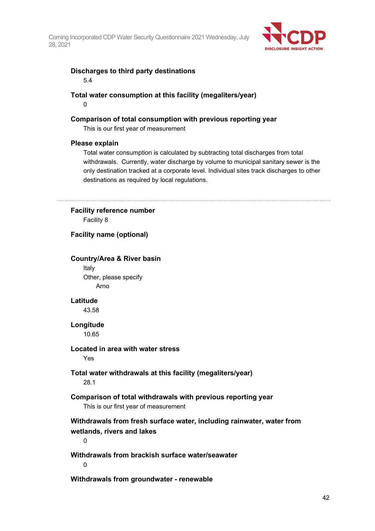

# **Discharges to third party destinations**

5.4

# **Total water consumption at this facility (megaliters/year)**

 $\Omega$ 

# **Comparison of total consumption with previous reporting year**

This is our first year of measurement

## **Please explain**

Total water consumption is calculated by subtracting total discharges from total withdrawals. Currently, water discharge by volume to municipal sanitary sewer is the only destination tracked at a corporate level. Individual sites track discharges to other destinations as required by local regulations.

## **Facility reference number**

Facility 8

# **Facility name (optional)**

## **Country/Area & River basin**

Italy Other, please specify Arno

## **Latitude**

43.58

# **Longitude**

10.65

# **Located in area with water stress**

Yes

# **Total water withdrawals at this facility (megaliters/year)** 28.1

# **Comparison of total withdrawals with previous reporting year**

This is our first year of measurement

# **Withdrawals from fresh surface water, including rainwater, water from wetlands, rivers and lakes**

 $\Omega$ 

# **Withdrawals from brackish surface water/seawater**

 $\Omega$ 

**Withdrawals from groundwater - renewable**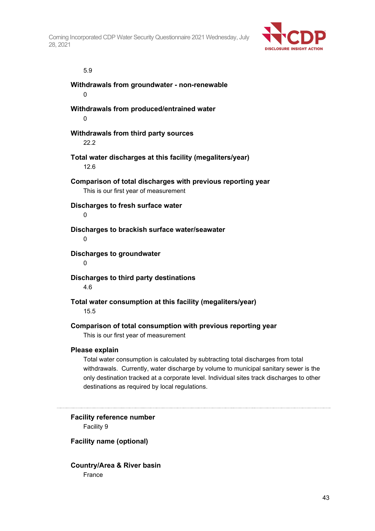

## 5.9

**Withdrawals from groundwater - non-renewable**  $\Omega$ **Withdrawals from produced/entrained water**

 $\Omega$ 

# **Withdrawals from third party sources**

22.2

# **Total water discharges at this facility (megaliters/year)** 12.6

**Comparison of total discharges with previous reporting year** This is our first year of measurement

# **Discharges to fresh surface water**

 $\Omega$ 

# **Discharges to brackish surface water/seawater**

 $\Omega$ 

# **Discharges to groundwater**

 $\Omega$ 

# **Discharges to third party destinations**

4.6

# **Total water consumption at this facility (megaliters/year)**

15.5

# **Comparison of total consumption with previous reporting year**

This is our first year of measurement

## **Please explain**

Total water consumption is calculated by subtracting total discharges from total withdrawals. Currently, water discharge by volume to municipal sanitary sewer is the only destination tracked at a corporate level. Individual sites track discharges to other destinations as required by local regulations.

**Facility reference number** Facility 9

# **Facility name (optional)**

# **Country/Area & River basin** France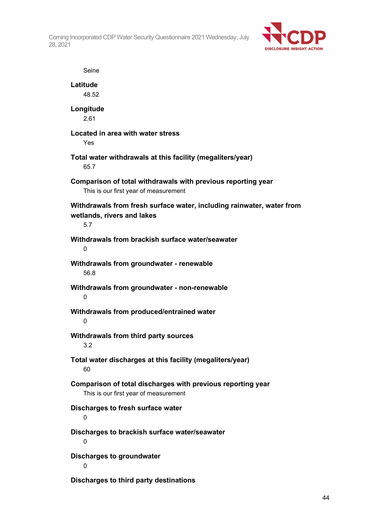

Seine **Latitude** 48.52 **Longitude** 2.61 **Located in area with water stress** Yes **Total water withdrawals at this facility (megaliters/year)** 65.7 **Comparison of total withdrawals with previous reporting year** This is our first year of measurement **Withdrawals from fresh surface water, including rainwater, water from wetlands, rivers and lakes** 5.7 **Withdrawals from brackish surface water/seawater**  $\Omega$ **Withdrawals from groundwater - renewable** 56.8 **Withdrawals from groundwater - non-renewable** 0 **Withdrawals from produced/entrained water** 0 **Withdrawals from third party sources** 3.2 **Total water discharges at this facility (megaliters/year)** 60 **Comparison of total discharges with previous reporting year** This is our first year of measurement **Discharges to fresh surface water** 0 **Discharges to brackish surface water/seawater**  $\Omega$ **Discharges to groundwater** 0 **Discharges to third party destinations**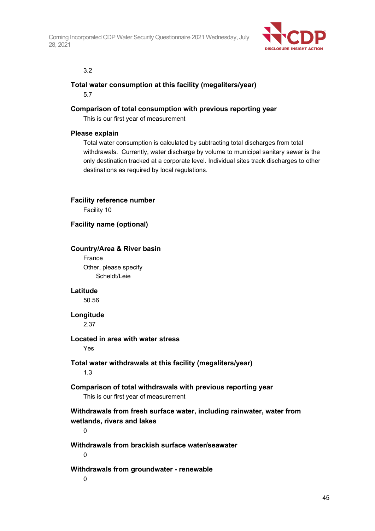

## 3.2

# **Total water consumption at this facility (megaliters/year)**

5.7

# **Comparison of total consumption with previous reporting year**

This is our first year of measurement

# **Please explain**

Total water consumption is calculated by subtracting total discharges from total withdrawals. Currently, water discharge by volume to municipal sanitary sewer is the only destination tracked at a corporate level. Individual sites track discharges to other destinations as required by local regulations.

## **Facility reference number**

Facility 10

## **Facility name (optional)**

## **Country/Area & River basin**

France Other, please specify Scheldt/Leie

## **Latitude**

50.56

# **Longitude**

2.37

## **Located in area with water stress**

Yes

# **Total water withdrawals at this facility (megaliters/year)**

1.3

# **Comparison of total withdrawals with previous reporting year**

This is our first year of measurement

# **Withdrawals from fresh surface water, including rainwater, water from wetlands, rivers and lakes**

 $\theta$ 

# **Withdrawals from brackish surface water/seawater**

 $\Omega$ 

# **Withdrawals from groundwater - renewable**

0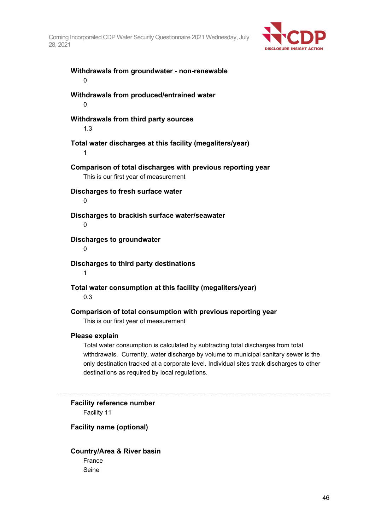

**Withdrawals from groundwater - non-renewable** 0 **Withdrawals from produced/entrained water**  $\Omega$ **Withdrawals from third party sources** 1.3 **Total water discharges at this facility (megaliters/year)** 1 **Comparison of total discharges with previous reporting year** This is our first year of measurement **Discharges to fresh surface water**  $\Omega$ **Discharges to brackish surface water/seawater**  $\Omega$ **Discharges to groundwater**  $\Omega$ **Discharges to third party destinations** 1 **Total water consumption at this facility (megaliters/year)** 0.3 **Comparison of total consumption with previous reporting year** This is our first year of measurement

## **Please explain**

Total water consumption is calculated by subtracting total discharges from total withdrawals. Currently, water discharge by volume to municipal sanitary sewer is the only destination tracked at a corporate level. Individual sites track discharges to other destinations as required by local regulations.

**Facility reference number** Facility 11

## **Facility name (optional)**

**Country/Area & River basin** France Seine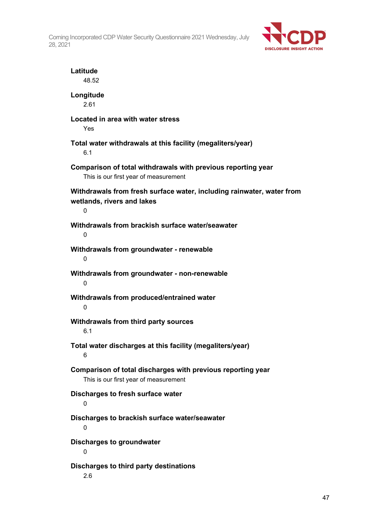

| Latitude<br>48.52                                                                                        |
|----------------------------------------------------------------------------------------------------------|
| Longitude<br>2.61                                                                                        |
| Located in area with water stress<br>Yes                                                                 |
| Total water withdrawals at this facility (megaliters/year)<br>6.1                                        |
| Comparison of total withdrawals with previous reporting year<br>This is our first year of measurement    |
| Withdrawals from fresh surface water, including rainwater, water from<br>wetlands, rivers and lakes<br>0 |
| Withdrawals from brackish surface water/seawater<br>0                                                    |
| Withdrawals from groundwater - renewable<br>0                                                            |
| Withdrawals from groundwater - non-renewable<br>0                                                        |
| Withdrawals from produced/entrained water<br>0                                                           |
| Withdrawals from third party sources<br>6.1                                                              |
| Total water discharges at this facility (megaliters/year)<br>6                                           |
| Comparison of total discharges with previous reporting year<br>This is our first year of measurement     |
| Discharges to fresh surface water<br>0                                                                   |
| Discharges to brackish surface water/seawater<br>0                                                       |
| <b>Discharges to groundwater</b><br>0                                                                    |
| Discharges to third party destinations<br>2.6                                                            |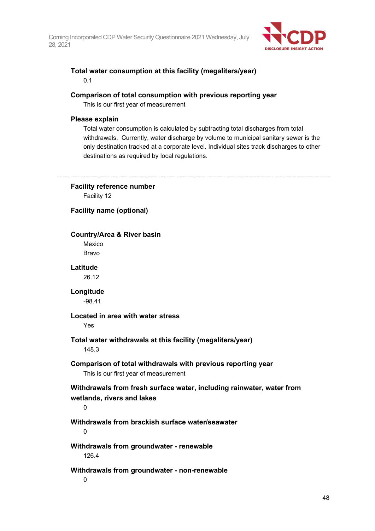

# **Total water consumption at this facility (megaliters/year)**

0.1

# **Comparison of total consumption with previous reporting year**

This is our first year of measurement

# **Please explain**

Total water consumption is calculated by subtracting total discharges from total withdrawals. Currently, water discharge by volume to municipal sanitary sewer is the only destination tracked at a corporate level. Individual sites track discharges to other destinations as required by local regulations.

# **Facility reference number**

Facility 12

# **Facility name (optional)**

# **Country/Area & River basin**

Mexico Bravo

# **Latitude**

26.12

# **Longitude**

-98.41

# **Located in area with water stress**

Yes

# **Total water withdrawals at this facility (megaliters/year)**

148.3

# **Comparison of total withdrawals with previous reporting year**

This is our first year of measurement

# **Withdrawals from fresh surface water, including rainwater, water from wetlands, rivers and lakes**

 $\Omega$ 

# **Withdrawals from brackish surface water/seawater**

 $\Omega$ 

# **Withdrawals from groundwater - renewable** 126.4

# **Withdrawals from groundwater - non-renewable**

 $\Omega$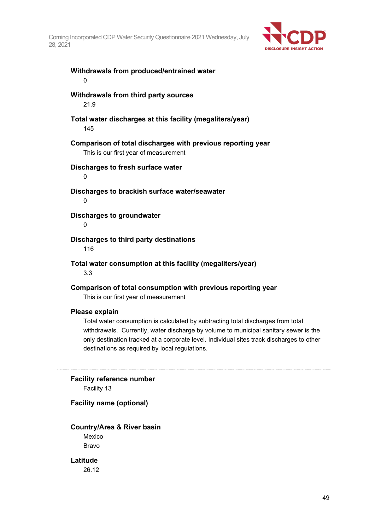

# **Withdrawals from produced/entrained water** 0 **Withdrawals from third party sources** 21.9 **Total water discharges at this facility (megaliters/year)** 145 **Comparison of total discharges with previous reporting year** This is our first year of measurement **Discharges to fresh surface water** 0 **Discharges to brackish surface water/seawater**  $\Omega$ **Discharges to groundwater**  $\Omega$ **Discharges to third party destinations** 116 **Total water consumption at this facility (megaliters/year)**

3.3

**Comparison of total consumption with previous reporting year**

This is our first year of measurement

#### **Please explain**

Total water consumption is calculated by subtracting total discharges from total withdrawals. Currently, water discharge by volume to municipal sanitary sewer is the only destination tracked at a corporate level. Individual sites track discharges to other destinations as required by local regulations.

#### **Facility reference number**

Facility 13

## **Facility name (optional)**

#### **Country/Area & River basin**

Mexico Bravo

**Latitude** 26.12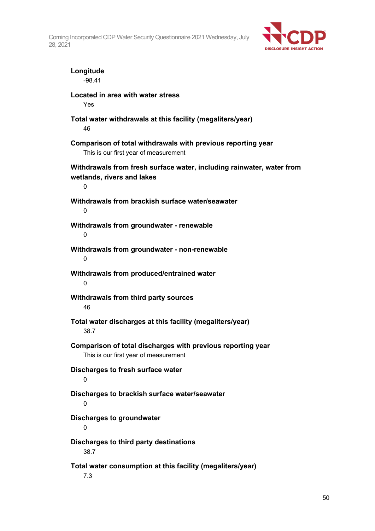

| Longitude<br>-98.41                                                                                      |
|----------------------------------------------------------------------------------------------------------|
| Located in area with water stress<br>Yes                                                                 |
| Total water withdrawals at this facility (megaliters/year)<br>46                                         |
| Comparison of total withdrawals with previous reporting year<br>This is our first year of measurement    |
| Withdrawals from fresh surface water, including rainwater, water from<br>wetlands, rivers and lakes<br>0 |
| Withdrawals from brackish surface water/seawater<br>0                                                    |
| Withdrawals from groundwater - renewable<br>0                                                            |
| Withdrawals from groundwater - non-renewable<br>0                                                        |
| Withdrawals from produced/entrained water<br>0                                                           |
| Withdrawals from third party sources<br>46                                                               |
| Total water discharges at this facility (megaliters/year)<br>38.7                                        |
| Comparison of total discharges with previous reporting year<br>This is our first year of measurement     |
| Discharges to fresh surface water<br>0                                                                   |
| Discharges to brackish surface water/seawater<br>0                                                       |
| <b>Discharges to groundwater</b><br>0                                                                    |
| Discharges to third party destinations<br>38.7                                                           |
| Total water consumption at this facility (megaliters/year)<br>7.3                                        |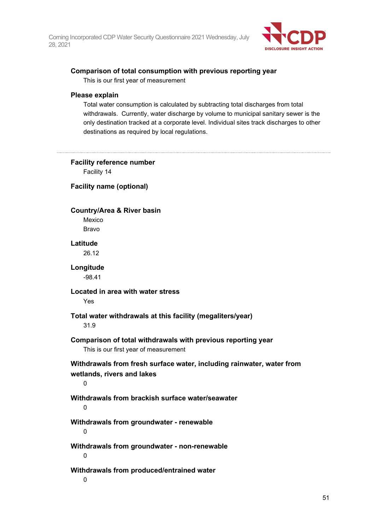

# **Comparison of total consumption with previous reporting year**

This is our first year of measurement

## **Please explain**

Total water consumption is calculated by subtracting total discharges from total withdrawals. Currently, water discharge by volume to municipal sanitary sewer is the only destination tracked at a corporate level. Individual sites track discharges to other destinations as required by local regulations.

## **Facility reference number**

Facility 14

## **Facility name (optional)**

## **Country/Area & River basin**

Mexico Bravo

## **Latitude**

26.12

# **Longitude**

-98.41

## **Located in area with water stress**

Yes

# **Total water withdrawals at this facility (megaliters/year)**

31.9

# **Comparison of total withdrawals with previous reporting year** This is our first year of measurement

**Withdrawals from fresh surface water, including rainwater, water from wetlands, rivers and lakes**

0

# **Withdrawals from brackish surface water/seawater**

 $\Omega$ 

# **Withdrawals from groundwater - renewable**

0

#### **Withdrawals from groundwater - non-renewable**  $\Omega$

# **Withdrawals from produced/entrained water**

 $\Omega$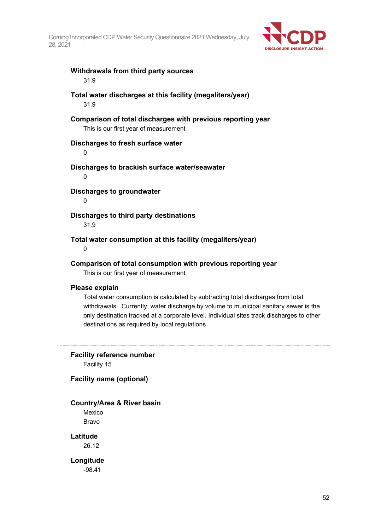

# **Withdrawals from third party sources**

31.9

# **Total water discharges at this facility (megaliters/year)**

31.9

# **Comparison of total discharges with previous reporting year**

This is our first year of measurement

## **Discharges to fresh surface water**

 $\Omega$ 

## **Discharges to brackish surface water/seawater**

0

**Discharges to groundwater**

 $\Omega$ 

# **Discharges to third party destinations**

31.9

# **Total water consumption at this facility (megaliters/year)**

 $\Omega$ 

# **Comparison of total consumption with previous reporting year**

This is our first year of measurement

## **Please explain**

Total water consumption is calculated by subtracting total discharges from total withdrawals. Currently, water discharge by volume to municipal sanitary sewer is the only destination tracked at a corporate level. Individual sites track discharges to other destinations as required by local regulations.

## **Facility reference number**

Facility 15

## **Facility name (optional)**

# **Country/Area & River basin**

Mexico Bravo

# **Latitude**

26.12

**Longitude** -98.41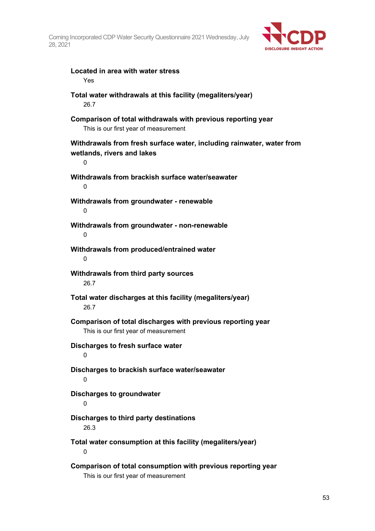

# **Located in area with water stress**

Yes

## **Total water withdrawals at this facility (megaliters/year)** 26.7

# **Comparison of total withdrawals with previous reporting year**

This is our first year of measurement

# **Withdrawals from fresh surface water, including rainwater, water from wetlands, rivers and lakes**

**Withdrawals from brackish surface water/seawater**  $\Omega$ 

**Withdrawals from groundwater - renewable**  $\Omega$ 

 $\Omega$ 

#### **Withdrawals from groundwater - non-renewable**  $\Omega$

**Withdrawals from produced/entrained water**  $\Omega$ 

# **Withdrawals from third party sources** 26.7

**Total water discharges at this facility (megaliters/year)** 26.7

**Comparison of total discharges with previous reporting year** This is our first year of measurement

## **Discharges to fresh surface water**  $\theta$

# **Discharges to brackish surface water/seawater**  $\Omega$

**Discharges to groundwater**

# $\Omega$

# **Discharges to third party destinations**

26.3

**Total water consumption at this facility (megaliters/year)**  $\Omega$ 

# **Comparison of total consumption with previous reporting year** This is our first year of measurement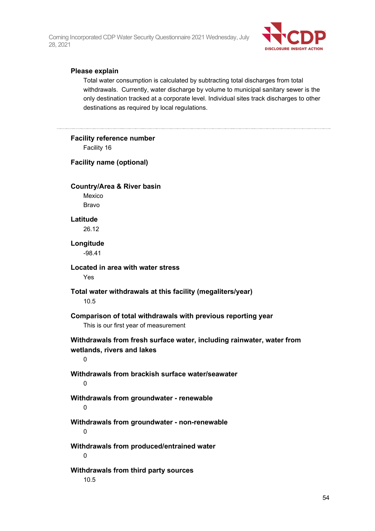

# **Please explain**

Total water consumption is calculated by subtracting total discharges from total withdrawals. Currently, water discharge by volume to municipal sanitary sewer is the only destination tracked at a corporate level. Individual sites track discharges to other destinations as required by local regulations.

| <b>Facility reference number</b><br>Facility 16                                                          |
|----------------------------------------------------------------------------------------------------------|
| <b>Facility name (optional)</b>                                                                          |
| <b>Country/Area &amp; River basin</b><br>Mexico<br>Bravo                                                 |
| Latitude<br>26.12                                                                                        |
| Longitude<br>$-98.41$                                                                                    |
| Located in area with water stress<br>Yes                                                                 |
| Total water withdrawals at this facility (megaliters/year)<br>10.5                                       |
| Comparison of total withdrawals with previous reporting year<br>This is our first year of measurement    |
| Withdrawals from fresh surface water, including rainwater, water from<br>wetlands, rivers and lakes<br>0 |
| Withdrawals from brackish surface water/seawater<br>0                                                    |
| Withdrawals from groundwater - renewable<br>0                                                            |
| Withdrawals from groundwater - non-renewable<br>0                                                        |
| Withdrawals from produced/entrained water<br>0                                                           |
| Withdrawals from third party sources<br>10.5                                                             |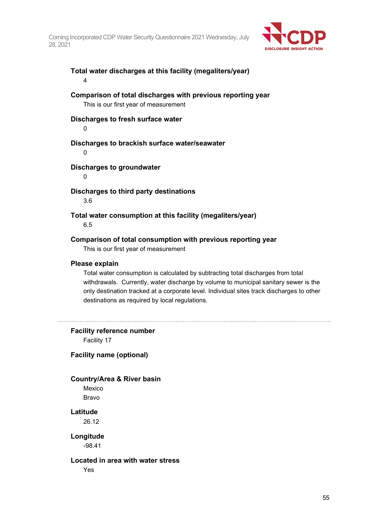

# **Total water discharges at this facility (megaliters/year)** 4

# **Comparison of total discharges with previous reporting year**

This is our first year of measurement

#### **Discharges to fresh surface water**

0

## **Discharges to brackish surface water/seawater**

 $\Omega$ 

## **Discharges to groundwater**

0

# **Discharges to third party destinations**

3.6

# **Total water consumption at this facility (megaliters/year)**

6.5

## **Comparison of total consumption with previous reporting year**

This is our first year of measurement

## **Please explain**

Total water consumption is calculated by subtracting total discharges from total withdrawals. Currently, water discharge by volume to municipal sanitary sewer is the only destination tracked at a corporate level. Individual sites track discharges to other destinations as required by local regulations.

**Facility reference number** Facility 17

## **Facility name (optional)**

## **Country/Area & River basin**

Mexico Bravo

## **Latitude**

26.12

#### **Longitude** -98.41

**Located in area with water stress** Yes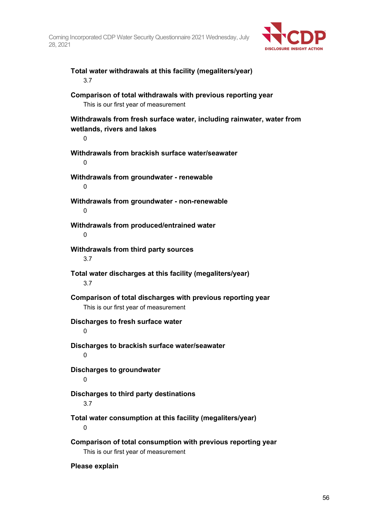

# **Total water withdrawals at this facility (megaliters/year)** 3.7

# **Comparison of total withdrawals with previous reporting year**

This is our first year of measurement

**Withdrawals from fresh surface water, including rainwater, water from wetlands, rivers and lakes**

 $\Omega$ 

 $\Omega$ 

**Withdrawals from brackish surface water/seawater**

**Withdrawals from groundwater - renewable**  $\Omega$ 

**Withdrawals from groundwater - non-renewable**  $\Omega$ 

**Withdrawals from produced/entrained water**  $\Omega$ 

**Withdrawals from third party sources** 3.7

**Total water discharges at this facility (megaliters/year)** 3.7

**Comparison of total discharges with previous reporting year** This is our first year of measurement

**Discharges to fresh surface water**

 $\Omega$ 

**Discharges to brackish surface water/seawater**

 $\theta$ 

**Discharges to groundwater**

 $\Omega$ 

**Discharges to third party destinations**

3.7

**Total water consumption at this facility (megaliters/year)**  $\Omega$ 

**Comparison of total consumption with previous reporting year** This is our first year of measurement

**Please explain**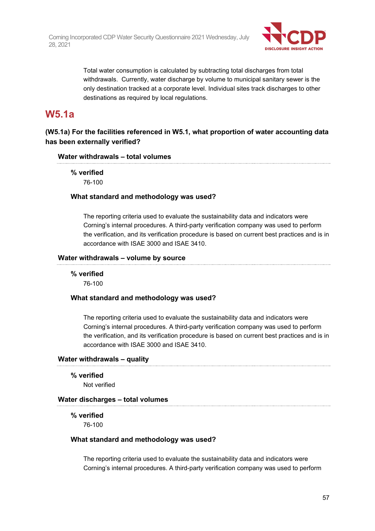

Total water consumption is calculated by subtracting total discharges from total withdrawals. Currently, water discharge by volume to municipal sanitary sewer is the only destination tracked at a corporate level. Individual sites track discharges to other destinations as required by local regulations.

# **W5.1a**

# **(W5.1a) For the facilities referenced in W5.1, what proportion of water accounting data has been externally verified?**

## **Water withdrawals – total volumes**

**% verified**

76-100

# **What standard and methodology was used?**

The reporting criteria used to evaluate the sustainability data and indicators were Corning's internal procedures. A third-party verification company was used to perform the verification, and its verification procedure is based on current best practices and is in accordance with ISAE 3000 and ISAE 3410.

## **Water withdrawals – volume by source**

## **% verified**

76-100

# **What standard and methodology was used?**

The reporting criteria used to evaluate the sustainability data and indicators were Corning's internal procedures. A third-party verification company was used to perform the verification, and its verification procedure is based on current best practices and is in accordance with ISAE 3000 and ISAE 3410.

# **Water withdrawals – quality**

**% verified**

Not verified

# **Water discharges – total volumes**

# **% verified**

76-100

# **What standard and methodology was used?**

The reporting criteria used to evaluate the sustainability data and indicators were Corning's internal procedures. A third-party verification company was used to perform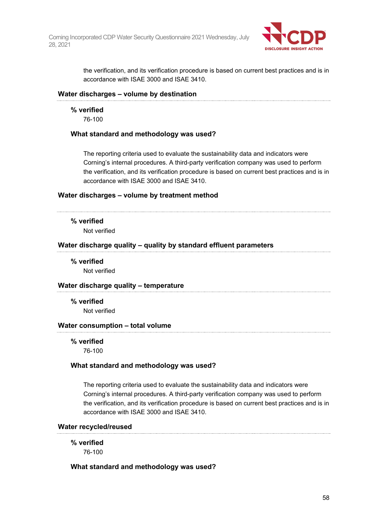

the verification, and its verification procedure is based on current best practices and is in accordance with ISAE 3000 and ISAE 3410.

# **Water discharges – volume by destination**

**% verified**

76-100

## **What standard and methodology was used?**

The reporting criteria used to evaluate the sustainability data and indicators were Corning's internal procedures. A third-party verification company was used to perform the verification, and its verification procedure is based on current best practices and is in accordance with ISAE 3000 and ISAE 3410.

## **Water discharges – volume by treatment method**

## **% verified**

Not verified

## **Water discharge quality – quality by standard effluent parameters**

**% verified**

Not verified

## **Water discharge quality – temperature**

**% verified** Not verified

## **Water consumption – total volume**

**% verified**

76-100

## **What standard and methodology was used?**

The reporting criteria used to evaluate the sustainability data and indicators were Corning's internal procedures. A third-party verification company was used to perform the verification, and its verification procedure is based on current best practices and is in accordance with ISAE 3000 and ISAE 3410.

## **Water recycled/reused**

**% verified** 76-100

## **What standard and methodology was used?**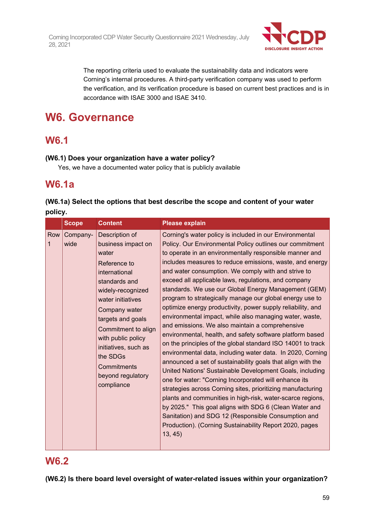

The reporting criteria used to evaluate the sustainability data and indicators were Corning's internal procedures. A third-party verification company was used to perform the verification, and its verification procedure is based on current best practices and is in accordance with ISAE 3000 and ISAE 3410.

# **W6. Governance**

# **W6.1**

# **(W6.1) Does your organization have a water policy?**

Yes, we have a documented water policy that is publicly available

# **W6.1a**

| (W6.1a) Select the options that best describe the scope and content of your water |  |
|-----------------------------------------------------------------------------------|--|
| policy.                                                                           |  |

|          | <b>Scope</b>     | <b>Content</b>                                                                                                                                                                                                                                                                                                     | <b>Please explain</b>                                                                                                                                                                                                                                                                                                                                                                                                                                                                                                                                                                                                                                                                                                                                                                                                                                                                                                                                                                                                                                                                                                                                                                                                                                                                                                                                        |
|----------|------------------|--------------------------------------------------------------------------------------------------------------------------------------------------------------------------------------------------------------------------------------------------------------------------------------------------------------------|--------------------------------------------------------------------------------------------------------------------------------------------------------------------------------------------------------------------------------------------------------------------------------------------------------------------------------------------------------------------------------------------------------------------------------------------------------------------------------------------------------------------------------------------------------------------------------------------------------------------------------------------------------------------------------------------------------------------------------------------------------------------------------------------------------------------------------------------------------------------------------------------------------------------------------------------------------------------------------------------------------------------------------------------------------------------------------------------------------------------------------------------------------------------------------------------------------------------------------------------------------------------------------------------------------------------------------------------------------------|
| Row<br>1 | Company-<br>wide | Description of<br>business impact on<br>water<br>Reference to<br>international<br>standards and<br>widely-recognized<br>water initiatives<br>Company water<br>targets and goals<br>Commitment to align<br>with public policy<br>initiatives, such as<br>the SDGs<br>Commitments<br>beyond regulatory<br>compliance | Corning's water policy is included in our Environmental<br>Policy. Our Environmental Policy outlines our commitment<br>to operate in an environmentally responsible manner and<br>includes measures to reduce emissions, waste, and energy<br>and water consumption. We comply with and strive to<br>exceed all applicable laws, regulations, and company<br>standards. We use our Global Energy Management (GEM)<br>program to strategically manage our global energy use to<br>optimize energy productivity, power supply reliability, and<br>environmental impact, while also managing water, waste,<br>and emissions. We also maintain a comprehensive<br>environmental, health, and safety software platform based<br>on the principles of the global standard ISO 14001 to track<br>environmental data, including water data. In 2020, Corning<br>announced a set of sustainability goals that align with the<br>United Nations' Sustainable Development Goals, including<br>one for water: "Corning Incorporated will enhance its<br>strategies across Corning sites, prioritizing manufacturing<br>plants and communities in high-risk, water-scarce regions,<br>by 2025." This goal aligns with SDG 6 (Clean Water and<br>Sanitation) and SDG 12 (Responsible Consumption and<br>Production). (Corning Sustainability Report 2020, pages<br>13, 45) |

# **W6.2**

**(W6.2) Is there board level oversight of water-related issues within your organization?**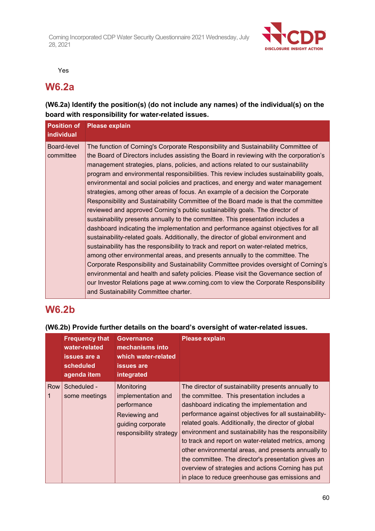

Yes

# **W6.2a**

# **(W6.2a) Identify the position(s) (do not include any names) of the individual(s) on the board with responsibility for water-related issues.**

| <b>Position of</b><br><b>individual</b> | <b>Please explain</b>                                                                                                                                                                                                                                                                                                                                                                                                                                                                                                                                                                                                                                                                                                                                                                                                                                                                                                                                                                                                                                                                                                                                                                                                                                                                                                                                                                                                                                            |
|-----------------------------------------|------------------------------------------------------------------------------------------------------------------------------------------------------------------------------------------------------------------------------------------------------------------------------------------------------------------------------------------------------------------------------------------------------------------------------------------------------------------------------------------------------------------------------------------------------------------------------------------------------------------------------------------------------------------------------------------------------------------------------------------------------------------------------------------------------------------------------------------------------------------------------------------------------------------------------------------------------------------------------------------------------------------------------------------------------------------------------------------------------------------------------------------------------------------------------------------------------------------------------------------------------------------------------------------------------------------------------------------------------------------------------------------------------------------------------------------------------------------|
| Board-level<br>committee                | The function of Corning's Corporate Responsibility and Sustainability Committee of<br>the Board of Directors includes assisting the Board in reviewing with the corporation's<br>management strategies, plans, policies, and actions related to our sustainability<br>program and environmental responsibilities. This review includes sustainability goals,<br>environmental and social policies and practices, and energy and water management<br>strategies, among other areas of focus. An example of a decision the Corporate<br>Responsibility and Sustainability Committee of the Board made is that the committee<br>reviewed and approved Corning's public sustainability goals. The director of<br>sustainability presents annually to the committee. This presentation includes a<br>dashboard indicating the implementation and performance against objectives for all<br>sustainability-related goals. Additionally, the director of global environment and<br>sustainability has the responsibility to track and report on water-related metrics,<br>among other environmental areas, and presents annually to the committee. The<br>Corporate Responsibility and Sustainability Committee provides oversight of Corning's<br>environmental and health and safety policies. Please visit the Governance section of<br>our Investor Relations page at www.corning.com to view the Corporate Responsibility<br>and Sustainability Committee charter. |

# **W6.2b**

#### **Frequency that water-related issues are a scheduled agenda item Governance mechanisms into which water-related issues are integrated Please explain** Row 1 Scheduled some meetings **Monitoring** implementation and performance Reviewing and guiding corporate responsibility strategy The director of sustainability presents annually to the committee. This presentation includes a dashboard indicating the implementation and performance against objectives for all sustainabilityrelated goals. Additionally, the director of global environment and sustainability has the responsibility to track and report on water-related metrics, among other environmental areas, and presents annually to the committee. The director's presentation gives an overview of strategies and actions Corning has put in place to reduce greenhouse gas emissions and

# **(W6.2b) Provide further details on the board's oversight of water-related issues.**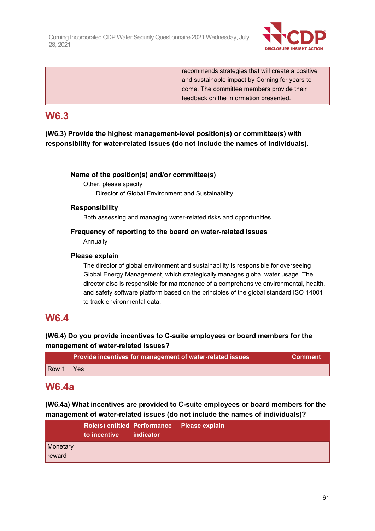

|  | recommends strategies that will create a positive |
|--|---------------------------------------------------|
|  | and sustainable impact by Corning for years to    |
|  | come. The committee members provide their         |
|  | feedback on the information presented.            |

# **W6.3**

**(W6.3) Provide the highest management-level position(s) or committee(s) with responsibility for water-related issues (do not include the names of individuals).**

# **Name of the position(s) and/or committee(s)**

Other, please specify Director of Global Environment and Sustainability

# **Responsibility**

Both assessing and managing water-related risks and opportunities

# **Frequency of reporting to the board on water-related issues**

Annually

# **Please explain**

The director of global environment and sustainability is responsible for overseeing Global Energy Management, which strategically manages global water usage. The director also is responsible for maintenance of a comprehensive environmental, health, and safety software platform based on the principles of the global standard ISO 14001 to track environmental data.

# **W6.4**

# **(W6.4) Do you provide incentives to C-suite employees or board members for the management of water-related issues?**

|       | Provide incentives for management of water-related issues | <b>Comment</b> |
|-------|-----------------------------------------------------------|----------------|
| Row 1 | $\forall$ Yes                                             |                |

# **W6.4a**

**(W6.4a) What incentives are provided to C-suite employees or board members for the management of water-related issues (do not include the names of individuals)?**

|                    | <b>Role(s) entitled Performance</b><br>to incentive | indicator | Please explain |
|--------------------|-----------------------------------------------------|-----------|----------------|
| Monetary<br>reward |                                                     |           |                |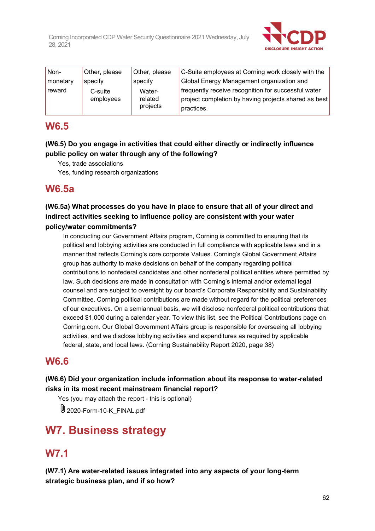

| Non-     | Other, please        | Other, please                 | C-Suite employees at Corning work closely with the                                                                        |
|----------|----------------------|-------------------------------|---------------------------------------------------------------------------------------------------------------------------|
| monetary | specify              | specify                       | Global Energy Management organization and                                                                                 |
| reward   | C-suite<br>employees | Water-<br>related<br>projects | frequently receive recognition for successful water<br>project completion by having projects shared as best<br>practices. |

# **W6.5**

# **(W6.5) Do you engage in activities that could either directly or indirectly influence public policy on water through any of the following?**

Yes, trade associations

Yes, funding research organizations

# **W6.5a**

**(W6.5a) What processes do you have in place to ensure that all of your direct and indirect activities seeking to influence policy are consistent with your water policy/water commitments?**

In conducting our Government Affairs program, Corning is committed to ensuring that its political and lobbying activities are conducted in full compliance with applicable laws and in a manner that reflects Corning's core corporate Values. Corning's Global Government Affairs group has authority to make decisions on behalf of the company regarding political contributions to nonfederal candidates and other nonfederal political entities where permitted by law. Such decisions are made in consultation with Corning's internal and/or external legal counsel and are subject to oversight by our board's Corporate Responsibility and Sustainability Committee. Corning political contributions are made without regard for the political preferences of our executives. On a semiannual basis, we will disclose nonfederal political contributions that exceed \$1,000 during a calendar year. To view this list, see the Political Contributions page on Corning.com. Our Global Government Affairs group is responsible for overseeing all lobbying activities, and we disclose lobbying activities and expenditures as required by applicable federal, state, and local laws. (Corning Sustainability Report 2020, page 38)

# **W6.6**

# **(W6.6) Did your organization include information about its response to water-related risks in its most recent mainstream financial report?**

Yes (you may attach the report - this is optional)

U 2020-Form-10-K FINAL.pdf

# **W7. Business strategy**

# **W7.1**

**(W7.1) Are water-related issues integrated into any aspects of your long-term strategic business plan, and if so how?**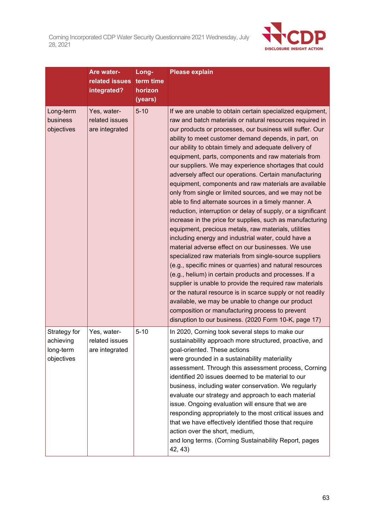

|                                                      | Are water-<br>related issues<br>integrated?     | Long-<br>term time<br>horizon<br>(years) | <b>Please explain</b>                                                                                                                                                                                                                                                                                                                                                                                                                                                                                                                                                                                                                                                                                                                                                                                                                                                                                                                                                                                                                                                                                                                                                                                                                                                                                                                                                                                                               |
|------------------------------------------------------|-------------------------------------------------|------------------------------------------|-------------------------------------------------------------------------------------------------------------------------------------------------------------------------------------------------------------------------------------------------------------------------------------------------------------------------------------------------------------------------------------------------------------------------------------------------------------------------------------------------------------------------------------------------------------------------------------------------------------------------------------------------------------------------------------------------------------------------------------------------------------------------------------------------------------------------------------------------------------------------------------------------------------------------------------------------------------------------------------------------------------------------------------------------------------------------------------------------------------------------------------------------------------------------------------------------------------------------------------------------------------------------------------------------------------------------------------------------------------------------------------------------------------------------------------|
| Long-term<br>business<br>objectives                  | Yes, water-<br>related issues<br>are integrated | $5 - 10$                                 | If we are unable to obtain certain specialized equipment,<br>raw and batch materials or natural resources required in<br>our products or processes, our business will suffer. Our<br>ability to meet customer demand depends, in part, on<br>our ability to obtain timely and adequate delivery of<br>equipment, parts, components and raw materials from<br>our suppliers. We may experience shortages that could<br>adversely affect our operations. Certain manufacturing<br>equipment, components and raw materials are available<br>only from single or limited sources, and we may not be<br>able to find alternate sources in a timely manner. A<br>reduction, interruption or delay of supply, or a significant<br>increase in the price for supplies, such as manufacturing<br>equipment, precious metals, raw materials, utilities<br>including energy and industrial water, could have a<br>material adverse effect on our businesses. We use<br>specialized raw materials from single-source suppliers<br>(e.g., specific mines or quarries) and natural resources<br>(e.g., helium) in certain products and processes. If a<br>supplier is unable to provide the required raw materials<br>or the natural resource is in scarce supply or not readily<br>available, we may be unable to change our product<br>composition or manufacturing process to prevent<br>disruption to our business. (2020 Form 10-K, page 17) |
| Strategy for<br>achieving<br>long-term<br>objectives | Yes, water-<br>related issues<br>are integrated | $5 - 10$                                 | In 2020, Corning took several steps to make our<br>sustainability approach more structured, proactive, and<br>goal-oriented. These actions<br>were grounded in a sustainability materiality<br>assessment. Through this assessment process, Corning<br>identified 20 issues deemed to be material to our<br>business, including water conservation. We regularly<br>evaluate our strategy and approach to each material<br>issue. Ongoing evaluation will ensure that we are<br>responding appropriately to the most critical issues and<br>that we have effectively identified those that require<br>action over the short, medium,<br>and long terms. (Corning Sustainability Report, pages<br>42, 43)                                                                                                                                                                                                                                                                                                                                                                                                                                                                                                                                                                                                                                                                                                                            |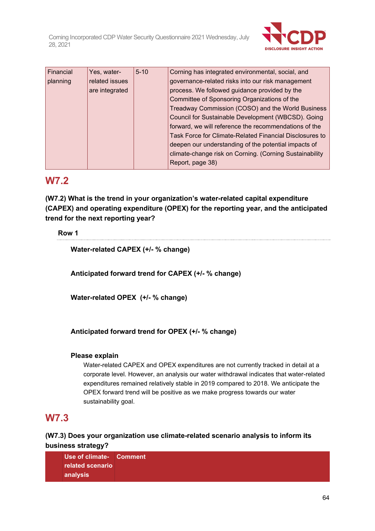

| Financial | Yes, water-    | $5 - 10$                                              | Corning has integrated environmental, social, and       |
|-----------|----------------|-------------------------------------------------------|---------------------------------------------------------|
| planning  | related issues | governance-related risks into our risk management     |                                                         |
|           | are integrated |                                                       | process. We followed guidance provided by the           |
|           |                |                                                       | Committee of Sponsoring Organizations of the            |
|           |                |                                                       | Treadway Commission (COSO) and the World Business       |
|           |                |                                                       | Council for Sustainable Development (WBCSD). Going      |
|           |                | forward, we will reference the recommendations of the |                                                         |
|           |                |                                                       | Task Force for Climate-Related Financial Disclosures to |
|           |                |                                                       | deepen our understanding of the potential impacts of    |
|           |                |                                                       | climate-change risk on Corning. (Corning Sustainability |
|           |                |                                                       | Report, page 38)                                        |

# **W7.2**

**(W7.2) What is the trend in your organization's water-related capital expenditure (CAPEX) and operating expenditure (OPEX) for the reporting year, and the anticipated trend for the next reporting year?**

# **Row 1**

**Water-related CAPEX (+/- % change)**

**Anticipated forward trend for CAPEX (+/- % change)**

**Water-related OPEX (+/- % change)**

**Anticipated forward trend for OPEX (+/- % change)**

# **Please explain**

Water-related CAPEX and OPEX expenditures are not currently tracked in detail at a corporate level. However, an analysis our water withdrawal indicates that water-related expenditures remained relatively stable in 2019 compared to 2018. We anticipate the OPEX forward trend will be positive as we make progress towards our water sustainability goal.

# **W7.3**

# **(W7.3) Does your organization use climate-related scenario analysis to inform its business strategy?**

**Use of climate-Commentrelated scenario analysis**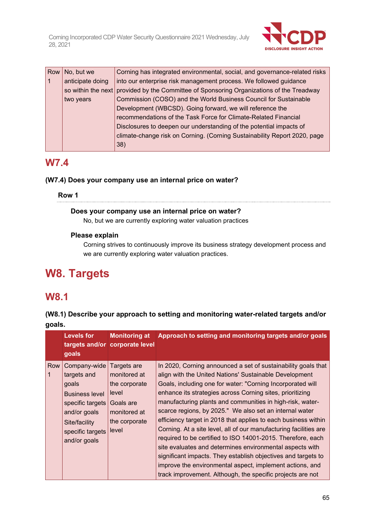

| Row I | No, but we         | Corning has integrated environmental, social, and governance-related risks |  |
|-------|--------------------|----------------------------------------------------------------------------|--|
| 1     | anticipate doing   | into our enterprise risk management process. We followed guidance          |  |
|       | so within the next | provided by the Committee of Sponsoring Organizations of the Treadway      |  |
|       | two years          | Commission (COSO) and the World Business Council for Sustainable           |  |
|       |                    | Development (WBCSD). Going forward, we will reference the                  |  |
|       |                    | recommendations of the Task Force for Climate-Related Financial            |  |
|       |                    | Disclosures to deepen our understanding of the potential impacts of        |  |
|       |                    | climate-change risk on Corning. (Corning Sustainability Report 2020, page  |  |
|       |                    | 38)                                                                        |  |

# **W7.4**

# **(W7.4) Does your company use an internal price on water?**

**Row 1**

# **Does your company use an internal price on water?**

No, but we are currently exploring water valuation practices

# **Please explain**

Corning strives to continuously improve its business strategy development process and we are currently exploring water valuation practices.

# **W8. Targets**

# **W8.1**

**(W8.1) Describe your approach to setting and monitoring water-related targets and/or goals.**

|     | <b>Levels for</b><br>goals                                                                                                                             | <b>Monitoring at</b><br>targets and/or corporate level                                                       | Approach to setting and monitoring targets and/or goals                                                                                                                                                                                                                                                                                                                                                                                                                                                                                                                                                                                                                                                                                                                                                                                 |
|-----|--------------------------------------------------------------------------------------------------------------------------------------------------------|--------------------------------------------------------------------------------------------------------------|-----------------------------------------------------------------------------------------------------------------------------------------------------------------------------------------------------------------------------------------------------------------------------------------------------------------------------------------------------------------------------------------------------------------------------------------------------------------------------------------------------------------------------------------------------------------------------------------------------------------------------------------------------------------------------------------------------------------------------------------------------------------------------------------------------------------------------------------|
| Row | Company-wide<br>targets and<br>goals<br><b>Business level</b><br>specific targets<br>and/or goals<br>Site/facility<br>specific targets<br>and/or goals | Targets are<br>monitored at<br>the corporate<br>level<br>Goals are<br>monitored at<br>the corporate<br>level | In 2020, Corning announced a set of sustainability goals that<br>align with the United Nations' Sustainable Development<br>Goals, including one for water: "Corning Incorporated will<br>enhance its strategies across Corning sites, prioritizing<br>manufacturing plants and communities in high-risk, water-<br>scarce regions, by 2025." We also set an internal water<br>efficiency target in 2018 that applies to each business within<br>Corning. At a site level, all of our manufacturing facilities are<br>required to be certified to ISO 14001-2015. Therefore, each<br>site evaluates and determines environmental aspects with<br>significant impacts. They establish objectives and targets to<br>improve the environmental aspect, implement actions, and<br>track improvement. Although, the specific projects are not |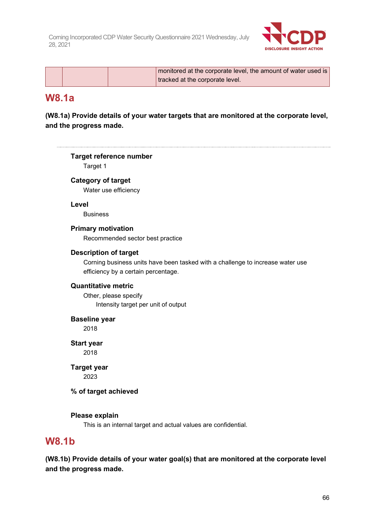

|  | monitored at the corporate level, the amount of water used is |  |
|--|---------------------------------------------------------------|--|
|  | tracked at the corporate level.                               |  |

# **W8.1a**

 $\cdots$ 

**(W8.1a) Provide details of your water targets that are monitored at the corporate level, and the progress made.**

|              | <b>Target reference number</b>                                                 |
|--------------|--------------------------------------------------------------------------------|
|              | Target 1                                                                       |
|              | <b>Category of target</b>                                                      |
|              | Water use efficiency                                                           |
|              | Level                                                                          |
|              | <b>Business</b>                                                                |
|              | <b>Primary motivation</b>                                                      |
|              | Recommended sector best practice                                               |
|              | <b>Description of target</b>                                                   |
|              | Corning business units have been tasked with a challenge to increase water use |
|              | efficiency by a certain percentage.                                            |
|              | <b>Quantitative metric</b>                                                     |
|              | Other, please specify                                                          |
|              | Intensity target per unit of output                                            |
|              | <b>Baseline year</b>                                                           |
|              | 2018                                                                           |
|              | <b>Start year</b>                                                              |
|              | 2018                                                                           |
|              | <b>Target year</b>                                                             |
|              | 2023                                                                           |
|              | % of target achieved                                                           |
|              | Please explain                                                                 |
|              | This is an internal target and actual values are confidential.                 |
| <b>W8.1b</b> |                                                                                |
|              | .                                                                              |

**(W8.1b) Provide details of your water goal(s) that are monitored at the corporate level and the progress made.**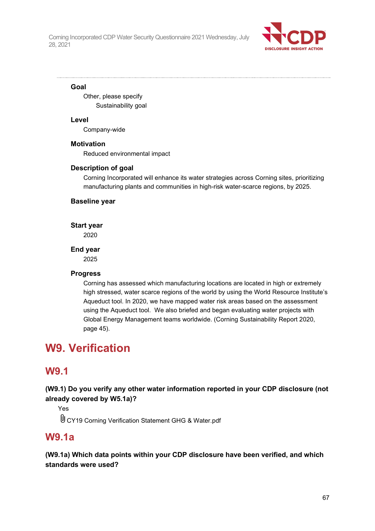

# **Goal**

Other, please specify Sustainability goal

# **Level**

Company-wide

# **Motivation**

Reduced environmental impact

# **Description of goal**

Corning Incorporated will enhance its water strategies across Corning sites, prioritizing manufacturing plants and communities in high-risk water-scarce regions, by 2025.

# **Baseline year**

**Start year**

2020

# **End year**

2025

# **Progress**

Corning has assessed which manufacturing locations are located in high or extremely high stressed, water scarce regions of the world by using the World Resource Institute's Aqueduct tool. In 2020, we have mapped water risk areas based on the assessment using the Aqueduct tool. We also briefed and began evaluating water projects with Global Energy Management teams worldwide. (Corning Sustainability Report 2020, page 45).

# **W9. Verification**

# **W9.1**

**(W9.1) Do you verify any other water information reported in your CDP disclosure (not already covered by W5.1a)?**

Yes

CY19 Corning Verification Statement GHG & Water.pdf

# **W9.1a**

**(W9.1a) Which data points within your CDP disclosure have been verified, and which standards were used?**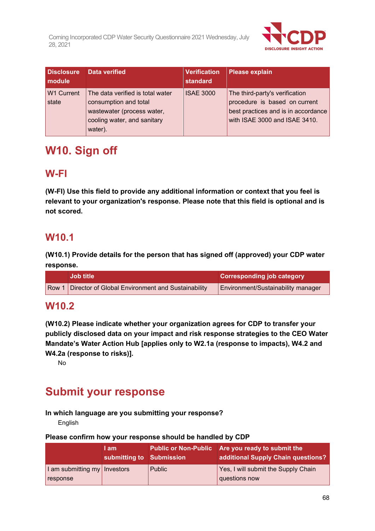

| <b>Disclosure</b><br><b>module</b> | Data verified                                                                                                                     | <b>Verification</b><br>standard | Please explain                                                                                                                          |
|------------------------------------|-----------------------------------------------------------------------------------------------------------------------------------|---------------------------------|-----------------------------------------------------------------------------------------------------------------------------------------|
| <b>W1 Current</b><br>state         | The data verified is total water<br>consumption and total<br>wastewater (process water,<br>cooling water, and sanitary<br>water). | <b>ISAE 3000</b>                | The third-party's verification<br>procedure is based on current<br>best practices and is in accordance<br>with ISAE 3000 and ISAE 3410. |

# **W10. Sign off**

# **W-FI**

**(W-FI) Use this field to provide any additional information or context that you feel is relevant to your organization's response. Please note that this field is optional and is not scored.**

# **W10.1**

**(W10.1) Provide details for the person that has signed off (approved) your CDP water response.**

| <b>Job title</b>                                        | <b>Corresponding job category</b>  |
|---------------------------------------------------------|------------------------------------|
| Row 1 Director of Global Environment and Sustainability | Environment/Sustainability manager |

# **W10.2**

**(W10.2) Please indicate whether your organization agrees for CDP to transfer your publicly disclosed data on your impact and risk response strategies to the CEO Water Mandate's Water Action Hub [applies only to W2.1a (response to impacts), W4.2 and W4.2a (response to risks)].**

No

# **Submit your response**

# **In which language are you submitting your response?**

English

# **Please confirm how your response should be handled by CDP**

|                                | I am<br>submitting to Submission |               | Public or Non-Public   Are you ready to submit the<br>additional Supply Chain questions? |
|--------------------------------|----------------------------------|---------------|------------------------------------------------------------------------------------------|
| I am submitting my   Investors |                                  | <b>Public</b> | Yes, I will submit the Supply Chain                                                      |
| response                       |                                  |               | questions now                                                                            |